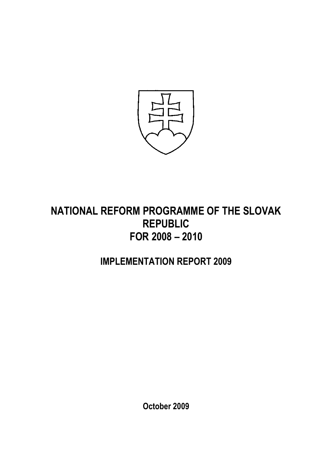

# NATIONAL REFORM PROGRAMME OF THE SLOVAK REPUBLIC FOR 2008 – 2010

# IMPLEMENTATION REPORT 2009

October 2009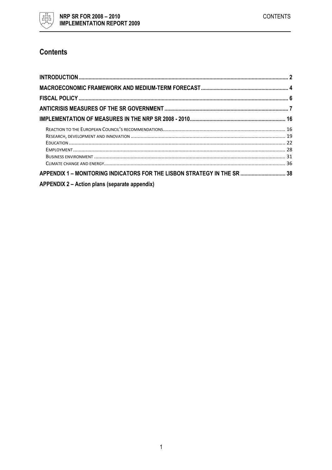

# **Contents**

| APPENDIX 1 - MONITORING INDICATORS FOR THE LISBON STRATEGY IN THE SR  38 |  |
|--------------------------------------------------------------------------|--|
| APPENDIX 2 – Action plans (separate appendix)                            |  |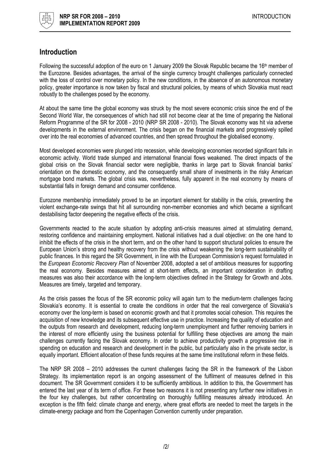

# Introduction

Following the successful adoption of the euro on 1 January 2009 the Slovak Republic became the 16<sup>th</sup> member of the Eurozone. Besides advantages, the arrival of the single currency brought challenges particularly connected with the loss of control over monetary policy. In the new conditions, in the absence of an autonomous monetary policy, greater importance is now taken by fiscal and structural policies, by means of which Slovakia must react robustly to the challenges posed by the economy.

At about the same time the global economy was struck by the most severe economic crisis since the end of the Second World War, the consequences of which had still not become clear at the time of preparing the National Reform Programme of the SR for 2008 - 2010 (NRP SR 2008 - 2010). The Slovak economy was hit via adverse developments in the external environment. The crisis began on the financial markets and progressively spilled over into the real economies of advanced countries, and then spread throughout the globalised economy.

Most developed economies were plunged into recession, while developing economies recorded significant falls in economic activity. World trade slumped and international financial flows weakened. The direct impacts of the global crisis on the Slovak financial sector were negligible, thanks in large part to Slovak financial banks' orientation on the domestic economy, and the consequently small share of investments in the risky American mortgage bond markets. The global crisis was, nevertheless, fully apparent in the real economy by means of substantial falls in foreign demand and consumer confidence.

Eurozone membership immediately proved to be an important element for stability in the crisis, preventing the violent exchange-rate swings that hit all surrounding non-member economies and which became a significant destabilising factor deepening the negative effects of the crisis.

Governments reacted to the acute situation by adopting anti-crisis measures aimed at stimulating demand, restoring confidence and maintaining employment. National initiatives had a dual objective: on the one hand to inhibit the effects of the crisis in the short term, and on the other hand to support structural policies to ensure the European Union's strong and healthy recovery from the crisis without weakening the long-term sustainability of public finances. In this regard the SR Government, in line with the European Commission's request formulated in the European Economic Recovery Plan of November 2008, adopted a set of ambitious measures for supporting the real economy. Besides measures aimed at short-term effects, an important consideration in drafting measures was also their accordance with the long-term objectives defined in the Strategy for Growth and Jobs. Measures are timely, targeted and temporary.

As the crisis passes the focus of the SR economic policy will again turn to the medium-term challenges facing Slovakia's economy. It is essential to create the conditions in order that the real convergence of Slovakia's economy over the long-term is based on economic growth and that it promotes social cohesion. This requires the acquisition of new knowledge and its subsequent effective use in practice. Increasing the quality of education and the outputs from research and development, reducing long-term unemployment and further removing barriers in the interest of more efficiently using the business potential for fulfilling these objectives are among the main challenges currently facing the Slovak economy. In order to achieve productivity growth a progressive rise in spending on education and research and development in the public, but particularly also in the private sector, is equally important. Efficient allocation of these funds requires at the same time institutional reform in these fields.

The NRP SR 2008 – 2010 addresses the current challenges facing the SR in the framework of the Lisbon Strategy. Its implementation report is an ongoing assessment of the fulfilment of measures defined in this document. The SR Government considers it to be sufficiently ambitious. In addition to this, the Government has entered the last year of its term of office. For these two reasons it is not presenting any further new initiatives in the four key challenges, but rather concentrating on thoroughly fulfilling measures already introduced. An exception is the fifth field: climate change and energy, where great efforts are needed to meet the targets in the climate-energy package and from the Copenhagen Convention currently under preparation.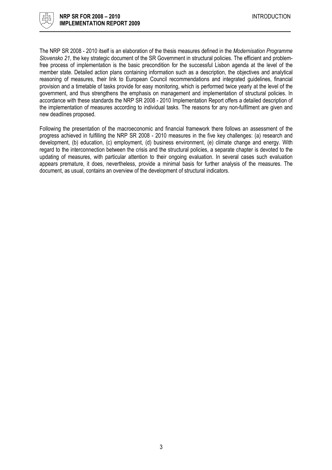

The NRP SR 2008 - 2010 itself is an elaboration of the thesis measures defined in the Modernisation Programme Slovensko 21, the key strategic document of the SR Government in structural policies. The efficient and problemfree process of implementation is the basic precondition for the successful Lisbon agenda at the level of the member state. Detailed action plans containing information such as a description, the objectives and analytical reasoning of measures, their link to European Council recommendations and integrated guidelines, financial provision and a timetable of tasks provide for easy monitoring, which is performed twice yearly at the level of the government, and thus strengthens the emphasis on management and implementation of structural policies. In accordance with these standards the NRP SR 2008 - 2010 Implementation Report offers a detailed description of the implementation of measures according to individual tasks. The reasons for any non-fulfilment are given and new deadlines proposed.

Following the presentation of the macroeconomic and financial framework there follows an assessment of the progress achieved in fulfilling the NRP SR 2008 - 2010 measures in the five key challenges: (a) research and development, (b) education, (c) employment, (d) business environment, (e) climate change and energy. With regard to the interconnection between the crisis and the structural policies, a separate chapter is devoted to the updating of measures, with particular attention to their ongoing evaluation. In several cases such evaluation appears premature, it does, nevertheless, provide a minimal basis for further analysis of the measures. The document, as usual, contains an overview of the development of structural indicators.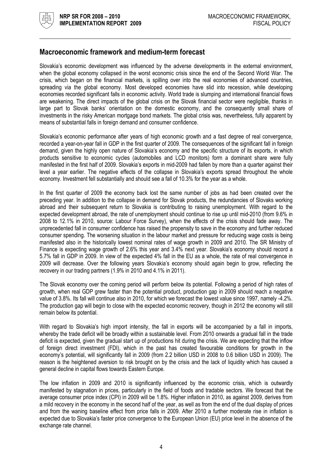

# Macroeconomic framework and medium-term forecast

Slovakia's economic development was influenced by the adverse developments in the external environment, when the global economy collapsed in the worst economic crisis since the end of the Second World War. The crisis, which began on the financial markets, is spilling over into the real economies of advanced countries, spreading via the global economy. Most developed economies have slid into recession, while developing economies recorded significant falls in economic activity. World trade is slumping and international financial flows are weakening. The direct impacts of the global crisis on the Slovak financial sector were negligible, thanks in large part to Slovak banks' orientation on the domestic economy, and the consequently small share of investments in the risky American mortgage bond markets. The global crisis was, nevertheless, fully apparent by means of substantial falls in foreign demand and consumer confidence.

Slovakia's economic performance after years of high economic growth and a fast degree of real convergence, recorded a year-on-year fall in GDP in the first quarter of 2009. The consequences of the significant fall in foreign demand, given the highly open nature of Slovakia's economy and the specific structure of its exports, in which products sensitive to economic cycles (automobiles and LCD monitors) form a dominant share were fully manifested in the first half of 2009. Slovakia's exports in mid-2009 had fallen by more than a quarter against their level a year earlier. The negative effects of the collapse in Slovakia's exports spread throughout the whole economy. Investment fell substantially and should see a fall of 10.3% for the year as a whole.

In the first quarter of 2009 the economy back lost the same number of jobs as had been created over the preceding year. In addition to the collapse in demand for Slovak products, the redundancies of Slovaks working abroad and their subsequent return to Slovakia is contributing to raising unemployment. With regard to the expected development abroad, the rate of unemployment should continue to rise up until mid-2010 (from 9.6% in 2008 to 12.1% in 2010, source: Labour Force Survey), when the effects of the crisis should fade away. The unprecedented fall in consumer confidence has raised the propensity to save in the economy and further reduced consumer spending. The worsening situation in the labour market and pressure for reducing wage costs is being manifested also in the historically lowest nominal rates of wage growth in 2009 and 2010. The SR Ministry of Finance is expecting wage growth of 2.6% this year and 3.4% next year. Slovakia's economy should record a 5.7% fall in GDP in 2009. In view of the expected 4% fall in the EU as a whole, the rate of real convergence in 2009 will decrease. Over the following years Slovakia's economy should again begin to grow, reflecting the recovery in our trading partners (1.9% in 2010 and 4.1% in 2011).

The Slovak economy over the coming period will perform below its potential. Following a period of high rates of growth, when real GDP grew faster than the potential product, production gap in 2009 should reach a negative value of 3.8%. Its fall will continue also in 2010, for which we forecast the lowest value since 1997, namely -4.2%. The production gap will begin to close with the expected economic recovery, though in 2012 the economy will still remain below its potential.

With regard to Slovakia's high import intensity, the fall in exports will be accompanied by a fall in imports, whereby the trade deficit will be broadly within a sustainable level. From 2010 onwards a gradual fall in the trade deficit is expected, given the gradual start up of productions hit during the crisis. We are expecting that the inflow of foreign direct investment (FDI), which in the past has created favourable conditions for growth in the economy's potential, will significantly fall in 2009 (from 2.2 billion USD in 2008 to 0.6 billion USD in 2009). The reason is the heightened aversion to risk brought on by the crisis and the lack of liquidity which has caused a general decline in capital flows towards Eastern Europe.

The low inflation in 2009 and 2010 is significantly influenced by the economic crisis, which is outwardly manifested by stagnation in prices, particularly in the field of foods and tradable sectors. We forecast that the average consumer price index (CPI) in 2009 will be 1.8%. Higher inflation in 2010, as against 2009, derives from a mild recovery in the economy in the second half of the year, as well as from the end of the dual display of prices and from the waning baseline effect from price falls in 2009. After 2010 a further moderate rise in inflation is expected due to Slovakia's faster price convergence to the European Union (EU) price level in the absence of the exchange rate channel.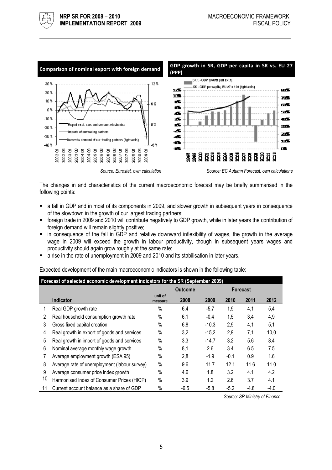

The changes in and characteristics of the current macroeconomic forecast may be briefly summarised in the following points:

- a fall in GDP and in most of its components in 2009, and slower growth in subsequent years in consequence of the slowdown in the growth of our largest trading partners;
- foreign trade in 2009 and 2010 will contribute negatively to GDP growth, while in later years the contribution of foreign demand will remain slightly positive;
- in consequence of the fall in GDP and relative downward inflexibility of wages, the growth in the average wage in 2009 will exceed the growth in labour productivity, though in subsequent years wages and productivity should again grow roughly at the same rate;
- a rise in the rate of unemployment in 2009 and 2010 and its stabilisation in later years.

Expected development of the main macroeconomic indicators is shown in the following table:

|    | Forecast of selected economic development indicators for the SR (September 2009) |                    |                |         |        |                 |        |  |  |  |  |
|----|----------------------------------------------------------------------------------|--------------------|----------------|---------|--------|-----------------|--------|--|--|--|--|
|    |                                                                                  |                    | <b>Outcome</b> |         |        | <b>Forecast</b> |        |  |  |  |  |
|    | <b>Indicator</b>                                                                 | unit of<br>measure | 2008           | 2009    | 2010   | 2011            | 2012   |  |  |  |  |
|    | Real GDP growth rate                                                             | $\%$               | 6,4            | $-5,7$  | 1,9    | 4,1             | 5,4    |  |  |  |  |
| 2  | Real household consumption growth rate                                           | $\%$               | 6,1            | $-0,4$  | 1,5    | 3,4             | 4,9    |  |  |  |  |
| 3  | Gross fixed capital creation                                                     | $\%$               | 6,8            | $-10.3$ | 2,9    | 4,1             | 5,1    |  |  |  |  |
| 4  | Real growth in export of goods and services                                      | $\%$               | 3.2            | $-15.2$ | 2,9    | 7,1             | 10,0   |  |  |  |  |
| 5  | Real growth in import of goods and services                                      | $\%$               | 3,3            | $-14.7$ | 3.2    | 5.6             | 8.4    |  |  |  |  |
| 6  | Nominal average monthly wage growth                                              | $\%$               | 8,1            | 2.6     | 3.4    | 6.5             | 7.5    |  |  |  |  |
|    | Average employment growth (ESA 95)                                               | $\%$               | 2,8            | $-1.9$  | $-0.1$ | 0.9             | 1.6    |  |  |  |  |
| 8  | Average rate of unemployment (labour survey)                                     | $\%$               | 9.6            | 11.7    | 12.1   | 11.6            | 11.0   |  |  |  |  |
| 9  | Average consumer price index growth                                              | $\%$               | 4.6            | 1.8     | 3.2    | 4.1             | 4.2    |  |  |  |  |
| 10 | Harmonised Index of Consumer Prices (HICP)                                       | $\%$               | 3.9            | 1.2     | 2.6    | 3.7             | 4.1    |  |  |  |  |
|    | Current account balance as a share of GDP                                        | $\%$               | $-6.5$         | $-5.8$  | $-5.2$ | -4.8            | $-4.0$ |  |  |  |  |

Source: SR Ministry of Finance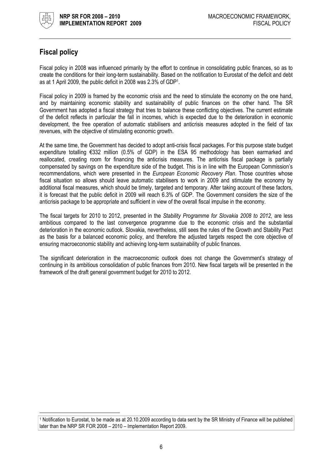

l

# Fiscal policy

Fiscal policy in 2008 was influenced primarily by the effort to continue in consolidating public finances, so as to create the conditions for their long-term sustainability. Based on the notification to Eurostat of the deficit and debt as at 1 April 2009, the public deficit in 2008 was 2.3% of GDP<sup>1</sup> .

Fiscal policy in 2009 is framed by the economic crisis and the need to stimulate the economy on the one hand, and by maintaining economic stability and sustainability of public finances on the other hand. The SR Government has adopted a fiscal strategy that tries to balance these conflicting objectives. The current estimate of the deficit reflects in particular the fall in incomes, which is expected due to the deterioration in economic development, the free operation of automatic stabilisers and anticrisis measures adopted in the field of tax revenues, with the objective of stimulating economic growth.

At the same time, the Government has decided to adopt anti-crisis fiscal packages. For this purpose state budget expenditure totalling €332 million (0.5% of GDP) in the ESA 95 methodology has been earmarked and reallocated, creating room for financing the anticrisis measures. The anticrisis fiscal package is partially compensated by savings on the expenditure side of the budget. This is in line with the European Commission's recommendations, which were presented in the European Economic Recovery Plan. Those countries whose fiscal situation so allows should leave automatic stabilisers to work in 2009 and stimulate the economy by additional fiscal measures, which should be timely, targeted and temporary. After taking account of these factors, it is forecast that the public deficit in 2009 will reach 6.3% of GDP. The Government considers the size of the anticrisis package to be appropriate and sufficient in view of the overall fiscal impulse in the economy.

The fiscal targets for 2010 to 2012, presented in the Stability Programme for Slovakia 2008 to 2012, are less ambitious compared to the last convergence programme due to the economic crisis and the substantial deterioration in the economic outlook. Slovakia, nevertheless, still sees the rules of the Growth and Stability Pact as the basis for a balanced economic policy, and therefore the adjusted targets respect the core objective of ensuring macroeconomic stability and achieving long-term sustainability of public finances.

The significant deterioration in the macroeconomic outlook does not change the Government's strategy of continuing in its ambitious consolidation of public finances from 2010. New fiscal targets will be presented in the framework of the draft general government budget for 2010 to 2012.

<sup>1</sup> Notification to Eurostat, to be made as at 20.10.2009 according to data sent by the SR Ministry of Finance will be published later than the NRP SR FOR 2008 – 2010 – Implementation Report 2009.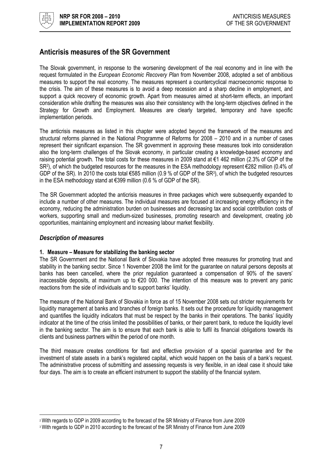

# Anticrisis measures of the SR Government

The Slovak government, in response to the worsening development of the real economy and in line with the request formulated in the European Economic Recovery Plan from November 2008, adopted a set of ambitious measures to support the real economy. The measures represent a countercyclical macroeconomic response to the crisis. The aim of these measures is to avoid a deep recession and a sharp decline in employment, and support a quick recovery of economic growth. Apart from measures aimed at short-term effects, an important consideration while drafting the measures was also their consistency with the long-term objectives defined in the Strategy for Growth and Employment. Measures are clearly targeted, temporary and have specific implementation periods.

The anticrisis measures as listed in this chapter were adopted beyond the framework of the measures and structural reforms planned in the National Programme of Reforms for 2008 – 2010 and in a number of cases represent their significant expansion. The SR government in approving these measures took into consideration also the long-term challenges of the Slovak economy, in particular creating a knowledge-based economy and raising potential growth. The total costs for these measures in 2009 stand at €1 462 million (2.3% of GDP of the SR<sup>2</sup> ), of which the budgeted resources for the measures in the ESA methodology represent €282 million (0.4% of GDP of the SR). In 2010 the costs total €585 million (0.9 % of GDP of the SR<sup>3</sup>), of which the budgeted resources in the ESA methodology stand at €399 million (0.6 % of GDP of the SR).

The SR Government adopted the anticrisis measures in three packages which were subsequently expanded to include a number of other measures. The individual measures are focused at increasing energy efficiency in the economy, reducing the administration burden on businesses and decreasing tax and social contribution costs of workers, supporting small and medium-sized businesses, promoting research and development, creating job opportunities, maintaining employment and increasing labour market flexibility.

#### Description of measures

 $\overline{\phantom{a}}$ 

#### 1. Measure – Measure for stabilizing the banking sector

The SR Government and the National Bank of Slovakia have adopted three measures for promoting trust and stability in the banking sector. Since 1 November 2008 the limit for the guarantee on natural persons deposits at banks has been cancelled, where the prior regulation guaranteed a compensation of 90% of the savers' inaccessible deposits, at maximum up to €20 000. The intention of this measure was to prevent any panic reactions from the side of individuals and to support banks' liquidity.

The measure of the National Bank of Slovakia in force as of 15 November 2008 sets out stricter requirements for liquidity management at banks and branches of foreign banks. It sets out the procedure for liquidity management and quantifies the liquidity indicators that must be respect by the banks in their operations. The banks' liquidity indicator at the time of the crisis limited the possibilities of banks, or their parent bank, to reduce the liquidity level in the banking sector. The aim is to ensure that each bank is able to fulfil its financial obligations towards its clients and business partners within the period of one month.

The third measure creates conditions for fast and effective provision of a special guarantee and for the investment of state assets in a bank's registered capital, which would happen on the basis of a bank's request. The administrative process of submitting and assessing requests is very flexible, in an ideal case it should take four days. The aim is to create an efficient instrument to support the stability of the financial system.

<sup>2</sup> With regards to GDP in 2009 according to the forecast of the SR Ministry of Finance from June 2009

<sup>3</sup> With regards to GDP in 2010 according to the forecast of the SR Ministry of Finance from June 2009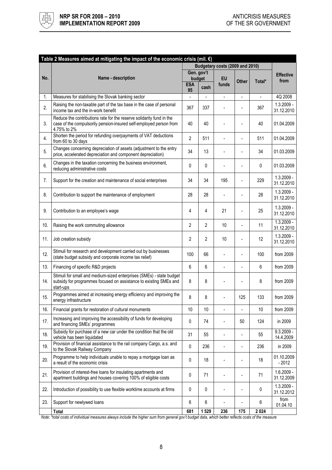

| Table 2 Measures aimed at mitigating the impact of the economic crisis (mil. $\epsilon$ ) |                                                                                                                                                           |                |                |                                 |                          |                |                            |  |  |
|-------------------------------------------------------------------------------------------|-----------------------------------------------------------------------------------------------------------------------------------------------------------|----------------|----------------|---------------------------------|--------------------------|----------------|----------------------------|--|--|
|                                                                                           |                                                                                                                                                           |                |                | Budgetary costs (2009 and 2010) |                          |                |                            |  |  |
|                                                                                           |                                                                                                                                                           |                | Gen. gov't     |                                 |                          |                | <b>Effective</b>           |  |  |
| No.                                                                                       | Name - description                                                                                                                                        |                | budget         | <b>EU</b>                       | <b>Other</b>             | Total*         | from                       |  |  |
|                                                                                           |                                                                                                                                                           | <b>ESA</b>     | cash           | funds                           |                          |                |                            |  |  |
|                                                                                           |                                                                                                                                                           | 95             |                |                                 |                          |                |                            |  |  |
| 1.                                                                                        | Measures for stabilising the Slovak banking sector                                                                                                        |                | $\overline{a}$ | $\overline{a}$                  | $\overline{a}$           | $\overline{a}$ | 4Q 2008                    |  |  |
| 2.                                                                                        | Raising the non-taxable part of the tax base in the case of personal<br>income tax and the in-work benefit                                                | 367            | 337            |                                 | $\overline{a}$           | 367            | $1.3.2009 -$<br>31.12.2010 |  |  |
| 3.                                                                                        | Reduce the contributions rate for the reserve solidarity fund in the<br>case of the compulsorily pension-insured self-employed person from<br>4.75% to 2% | 40             | 40             |                                 | L.                       | 40             | 01.04.2009                 |  |  |
| 4.                                                                                        | Shorten the period for refunding overpayments of VAT deductions<br>from 60 to 30 days                                                                     | 2              | 511            | ÷,                              | ÷.                       | 511            | 01.04.2009                 |  |  |
| 5.                                                                                        | Changes concerning depreciation of assets (adjustment to the entry<br>price, accelerated depreciation and component depreciation)                         | 34             | 13             |                                 |                          | 34             | 01.03.2009                 |  |  |
| 6.                                                                                        | Changes in the taxation concerning the business environment,<br>reducing administrative costs                                                             | 0              | 0              |                                 | $\overline{a}$           | 0              | 01.03.2009                 |  |  |
| 7.                                                                                        | Support for the creation and maintenance of social enterprises                                                                                            | 34             | 34             | 195                             | $\overline{a}$           | 229            | $1.3.2009 -$<br>31.12.2010 |  |  |
| 8.                                                                                        | Contribution to support the maintenance of employment                                                                                                     | 28             | 28             |                                 |                          | 28             | $1.3.2009 -$<br>31.12.2010 |  |  |
| 9.                                                                                        | Contribution to an employee's wage                                                                                                                        | 4              | 4              | 21                              | ۰                        | 25             | $1.3.2009 -$<br>31.12.2010 |  |  |
| 10.                                                                                       | Raising the work commuting allowance                                                                                                                      | 2              | $\overline{2}$ | 10                              | $\overline{a}$           | 11             | $1.3.2009 -$<br>31.12.2010 |  |  |
| 11.                                                                                       | Job creation subsidy                                                                                                                                      | $\overline{2}$ | $\overline{2}$ | 10                              | L.                       | 12             | $1.3.2009 -$<br>31.12.2010 |  |  |
| 12.                                                                                       | Stimuli for research and development carried out by businesses<br>(state budget subsidy and corporate income tax relief)                                  | 100            | 66             |                                 | L.                       | 100            | from 2009                  |  |  |
| 13.                                                                                       | Financing of specific R&D projects                                                                                                                        | 6              | 6              | ÷,                              | $\overline{a}$           | 6              | from 2009                  |  |  |
| 14.                                                                                       | Stimuli for small and medium-sized enterprises (SMEs) - state budget<br>subsidy for programmes focused on assistance to existing SMEs and<br>start-ups    | 8              | 8              |                                 | $\overline{a}$           | 8              | from 2009                  |  |  |
| 15.                                                                                       | Programmes aimed at increasing energy efficiency and improving the<br>energy infrastructure                                                               | 8              | 8              |                                 | 125                      | 133            | from 2009                  |  |  |
| 16.                                                                                       | Financial grants for restoration of cultural monuments                                                                                                    | 10             | 10             |                                 |                          | 10             | from 2009                  |  |  |
| 17.                                                                                       | Increasing and improving the accessibility of funds for developing<br>and financing SMEs' programmes                                                      | 0              | 74             |                                 | 50                       | 124            | in 2009                    |  |  |
| 18.                                                                                       | Subsidy for purchase of a new car under the condition that the old<br>vehicle has been liquidated                                                         | 31             | 55             |                                 | $\overline{\phantom{0}}$ | 55             | $9.3.2009 -$<br>14.4.2009  |  |  |
| 19.                                                                                       | Provision of financial assistance to the rail company Cargo, a.s. and<br>to the Slovak Railway Company                                                    | 0              | 236            |                                 | ÷,                       | 236            | in 2009                    |  |  |
| 20.                                                                                       | Programme to help individuals unable to repay a mortgage loan as<br>a result of the economic crisis                                                       | 0              | 18             |                                 | L.                       | 18             | 01.10.2009<br>$-2012$      |  |  |
| 21.                                                                                       | Provision of interest-free loans for insulating apartments and<br>apartment buildings and houses covering 100% of eligible costs                          | 0              | 71             |                                 |                          | 71             | $1.6.2009 -$<br>31.12.2009 |  |  |
| 22.                                                                                       | Introduction of possibility to use flexible worktime accounts at firms                                                                                    | 0              | 0              |                                 |                          | 0              | $1.3.2009 -$<br>31.12.2012 |  |  |
| 23.                                                                                       | Support for newlywed loans                                                                                                                                | 6              | 6              |                                 |                          | 6              | from<br>01.04.10           |  |  |
|                                                                                           | <b>Total</b>                                                                                                                                              | 681            | 1529           | 236                             | 175                      | 2024           |                            |  |  |

Note: \*total costs of individual measures always include the higher sum from general gov't budget data, which better reflects costs of the measure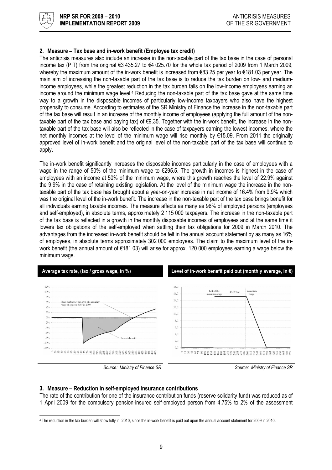

#### 2. Measure – Tax base and in-work benefit (Employee tax credit)

The anticrisis measures also include an increase in the non-taxable part of the tax base in the case of personal income tax (PIT) from the original €3 435.27 to €4 025.70 for the whole tax period of 2009 from 1 March 2009, whereby the maximum amount of the in-work benefit is increased from €83.25 per year to €181.03 per year. The main aim of increasing the non-taxable part of the tax base is to reduce the tax burden on low- and mediumincome employees, while the greatest reduction in the tax burden falls on the low-income employees earning an income around the minimum wage level.<sup>4</sup> Reducing the non-taxable part of the tax base gave at the same time way to a growth in the disposable incomes of particularly low-income taxpayers who also have the highest propensity to consume. According to estimates of the SR Ministry of Finance the increase in the non-taxable part of the tax base will result in an increase of the monthly income of employees (applying the full amount of the nontaxable part of the tax base and paying tax) of €9.35. Together with the in-work benefit, the increase in the nontaxable part of the tax base will also be reflected in the case of taxpayers earning the lowest incomes, where the net monthly incomes at the level of the minimum wage will rise monthly by €15.09. From 2011 the originally approved level of in-work benefit and the original level of the non-taxable part of the tax base will continue to apply.

The in-work benefit significantly increases the disposable incomes particularly in the case of employees with a wage in the range of 50% of the minimum wage to €295.5. The growth in incomes is highest in the case of employees with an income at 50% of the minimum wage, where this growth reaches the level of 22.9% against the 9.9% in the case of retaining existing legislation. At the level of the minimum wage the increase in the nontaxable part of the tax base has brought about a year-on-year increase in net income of 16.4% from 9.9% which was the original level of the in-work benefit. The increase in the non-taxable part of the tax base brings benefit for all individuals earning taxable incomes. The measure affects as many as 96% of employed persons (employees and self-employed), in absolute terms, approximately 2 115 000 taxpayers. The increase in the non-taxable part of the tax base is reflected in a growth in the monthly disposable incomes of employees and at the same time it lowers tax obligations of the self-employed when settling their tax obligations for 2009 in March 2010. The advantages from the increased in-work benefit should be felt in the annual account statement by as many as 16% of employees, in absolute terms approximately 302 000 employees. The claim to the maximum level of the inwork benefit (the annual amount of €181.03) will arise for approx. 120 000 employees earning a wage below the minimum wage.





#### 3. Measure – Reduction in self-employed insurance contributions

The rate of the contribution for one of the insurance contribution funds (reserve solidarity fund) was reduced as of 1 April 2009 for the compulsory pension-insured self-employed person from 4.75% to 2% of the assessment

 4 The reduction in the tax burden will show fully in 2010, since the in-work benefit is paid out upon the annual account statement for 2009 in 2010.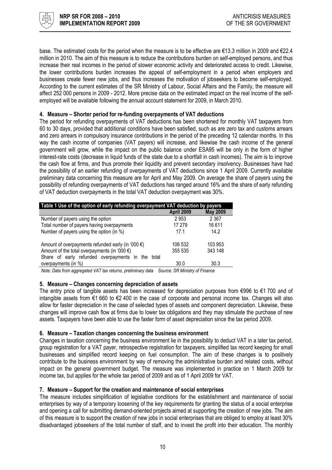

base. The estimated costs for the period when the measure is to be effective are €13.3 million in 2009 and €22.4 million in 2010. The aim of this measure is to reduce the contributions burden on self-employed persons, and thus increase their real incomes in the period of slower economic activity and deteriorated access to credit. Likewise, the lower contributions burden increases the appeal of self-employment in a period when employers and businesses create fewer new jobs, and thus increases the motivation of jobseekers to become self-employed. According to the current estimates of the SR Ministry of Labour, Social Affairs and the Family, the measure will affect 252 000 persons in 2009 - 2012. More precise data on the estimated impact on the real income of the selfemployed will be available following the annual account statement for 2009, in March 2010.

#### 4. Measure – Shorter period for re-funding overpayments of VAT deductions

The period for refunding overpayments of VAT deductions has been shortened for monthly VAT taxpayers from 60 to 30 days, provided that additional conditions have been satisfied, such as are zero tax and customs arrears and zero arrears in compulsory insurance contributions in the period of the preceding 12 calendar months. In this way the cash income of companies (VAT payers) will increase, and likewise the cash income of the general government will grow, while the impact on the public balance under ESA95 will be only in the form of higher interest-rate costs (decrease in liquid funds of the state due to a shortfall in cash incomes). The aim is to improve the cash flow at firms, and thus promote their liquidity and prevent secondary insolvency. Businesses have had the possibility of an earlier refunding of overpayments of VAT deductions since 1 April 2009. Currently available preliminary data concerning this measure are for April and May 2009. On average the share of payers using the possibility of refunding overpayments of VAT deductions has ranged around 16% and the share of early refunding of VAT deduction overpayments in the total VAT deduction overpayment was 30%.

| Table 1 Use of the option of early refunding overpayment VAT deduction by payers                                              |            |                 |  |  |  |  |  |
|-------------------------------------------------------------------------------------------------------------------------------|------------|-----------------|--|--|--|--|--|
|                                                                                                                               | April 2009 | <b>May 2009</b> |  |  |  |  |  |
| Number of payers using the option                                                                                             | 2953       | 2 3 6 7         |  |  |  |  |  |
| Total number of payers having overpayments                                                                                    | 17 279     | 16611           |  |  |  |  |  |
| Number of payers using the option (in %)                                                                                      | 17.1       | 14.2            |  |  |  |  |  |
| Amount of overpayments refunded early (in '000 $\epsilon$ )                                                                   | 106 532    | 103 953         |  |  |  |  |  |
| Amount of the total overpayments (in '000 $\epsilon$ )                                                                        | 355 535    | 343 148         |  |  |  |  |  |
| Share of early refunded overpayments in the total                                                                             |            |                 |  |  |  |  |  |
| overpayments (in %)                                                                                                           | 30.0       | 30.3            |  |  |  |  |  |
| $M_{\rm{eff}}$ , Defe from a non-reliability $M_{\rm{F}}$ from a from a limitation defermed $\alpha$ . On Matches of Figure , |            |                 |  |  |  |  |  |

Note: Data from aggregated VAT tax returns, preliminary data Source: SR Ministry of Finance

#### 5. Measure – Changes concerning depreciation of assets

The entry price of tangible assets has been increased for depreciation purposes from €996 to €1 700 and of intangible assets from €1 660 to €2 400 in the case of corporate and personal income tax. Changes will also allow for faster depreciation in the case of selected types of assets and component depreciation. Likewise, these changes will improve cash flow at firms due to lower tax obligations and they may stimulate the purchase of new assets. Taxpayers have been able to use the faster form of asset depreciation since the tax period 2009.

#### 6. Measure – Taxation changes concerning the business environment

Changes in taxation concerning the business environment lie in the possibility to deduct VAT in a later tax period, group registration for a VAT payer, retrospective registration for taxpayers, simplified tax record keeping for small businesses and simplified record keeping on fuel consumption. The aim of these changes is to positively contribute to the business environment by way of removing the administrative burden and related costs, without impact on the general government budget. The measure was implemented in practice on 1 March 2009 for income tax, but applies for the whole tax period of 2009 and as of 1 April 2009 for VAT.

#### 7. Measure – Support for the creation and maintenance of social enterprises

The measure includes simplification of legislative conditions for the establishment and maintenance of social enterprises by way of a temporary loosening of the key requirements for granting the status of a social enterprise and opening a call for submitting demand-oriented projects aimed at supporting the creation of new jobs. The aim of this measure is to support the creation of new jobs in social enterprises that are obliged to employ at least 30% disadvantaged jobseekers of the total number of staff, and to invest the profit into their education. The monthly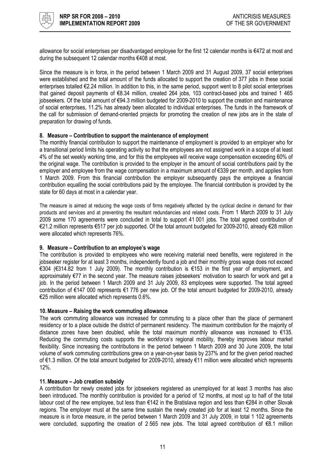

allowance for social enterprises per disadvantaged employee for the first 12 calendar months is €472 at most and during the subsequent 12 calendar months €408 at most.

Since the measure is in force, in the period between 1 March 2009 and 31 August 2009, 37 social enterprises were established and the total amount of the funds allocated to support the creation of 377 jobs in these social enterprises totalled €2.24 million. In addition to this, in the same period, support went to 8 pilot social enterprises that gained deposit payments of €8.34 million, created 264 jobs, 103 contract-based jobs and trained 1 465 jobseekers. Of the total amount of €94.3 million budgeted for 2009-2010 to support the creation and maintenance of social enterprises, 11.2% has already been allocated to individual enterprises. The funds in the framework of the call for submission of demand-oriented projects for promoting the creation of new jobs are in the state of preparation for drawing of funds.

#### 8. Measure – Contribution to support the maintenance of employment

The monthly financial contribution to support the maintenance of employment is provided to an employer who for a transitional period limits his operating activity so that the employees are not assigned work in a scope of at least 4% of the set weekly working time, and for this the employees will receive wage compensation exceeding 60% of the original wage. The contribution is provided to the employer in the amount of social contributions paid by the employer and employee from the wage compensation in a maximum amount of €339 per month, and applies from 1 March 2009. From this financial contribution the employer subsequently pays the employee a financial contribution equalling the social contributions paid by the employee. The financial contribution is provided by the state for 60 days at most in a calendar year.

The measure is aimed at reducing the wage costs of firms negatively affected by the cyclical decline in demand for their products and services and at preventing the resultant redundancies and related costs. From 1 March 2009 to 31 July 2009 some 170 agreements were concluded in total to support 41 001 jobs. The total agreed contribution of €21.2 million represents €517 per job supported. Of the total amount budgeted for 2009-2010, already €28 million were allocated which represents 76%.

#### 9. Measure – Contribution to an employee's wage

The contribution is provided to employees who were receiving material need benefits, were registered in the jobseeker register for at least 3 months, independently found a job and their monthly gross wage does not exceed €304 (€314.82 from 1 July 2009). The monthly contribution is €153 in the first year of employment, and approximately €77 in the second year. The measure raises jobseekers' motivation to search for work and get a job. In the period between 1 March 2009 and 31 July 2009, 83 employees were supported. The total agreed contribution of €147 000 represents €1 776 per new job. Of the total amount budgeted for 2009-2010, already €25 million were allocated which represents 0.6%.

#### 10.Measure – Raising the work commuting allowance

The work commuting allowance was increased for commuting to a place other than the place of permanent residency or to a place outside the district of permanent residency. The maximum contribution for the majority of distance zones have been doubled, while the total maximum monthly allowance was increased to  $\epsilon$ 135. Reducing the commuting costs supports the workforce's regional mobility, thereby improves labour market flexibility. Since increasing the contributions in the period between 1 March 2009 and 30 June 2009, the total volume of work commuting contributions grew on a year-on-year basis by 237% and for the given period reached of €1.3 million. Of the total amount budgeted for 2009-2010, already €11 million were allocated which represents 12%.

#### 11.Measure – Job creation subsidy

A contribution for newly created jobs for jobseekers registered as unemployed for at least 3 months has also been introduced. The monthly contribution is provided for a period of 12 months, at most up to half of the total labour cost of the new employee, but less than €142 in the Bratislava region and less than €284 in other Slovak regions. The employer must at the same time sustain the newly created job for at least 12 months. Since the measure is in force measure, in the period between 1 March 2009 and 31 July 2009, in total 1 102 agreements were concluded, supporting the creation of 2 565 new jobs. The total agreed contribution of €8.1 million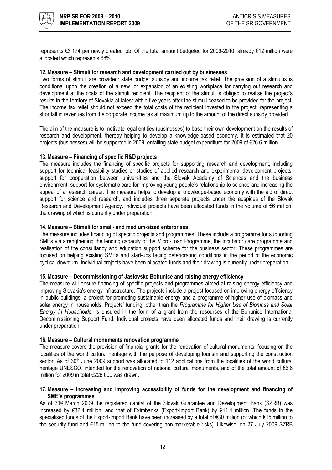

represents €3 174 per newly created job. Of the total amount budgeted for 2009-2010, already €12 million were allocated which represents 68%.

#### 12.Measure – Stimuli for research and development carried out by businesses

Two forms of stimuli are provided: state budget subsidy and income tax relief. The provision of a stimulus is conditional upon the creation of a new, or expansion of an existing workplace for carrying out research and development at the costs of the stimuli recipient. The recipient of the stimuli is obliged to realise the project's results in the territory of Slovakia at latest within five years after the stimuli ceased to be provided for the project. The income tax relief should not exceed the total costs of the recipient invested in the project, representing a shortfall in revenues from the corporate income tax at maximum up to the amount of the direct subsidy provided.

The aim of the measure is to motivate legal entities (businesses) to base their own development on the results of research and development, thereby helping to develop a knowledge-based economy. It is estimated that 20 projects (businesses) will be supported in 2009, entailing state budget expenditure for 2009 of €26.6 million.

#### 13.Measure – Financing of specific R&D projects

The measure includes the financing of specific projects for supporting research and development, including support for technical feasibility studies or studies of applied research and experimental development projects, support for cooperation between universities and the Slovak Academy of Sciences and the business environment, support for systematic care for improving young people's relationship to science and increasing the appeal of a research career. The measure helps to develop a knowledge-based economy with the aid of direct support for science and research, and includes three separate projects under the auspices of the Slovak Research and Development Agency. Individual projects have been allocated funds in the volume of €6 million, the drawing of which is currently under preparation.

#### 14.Measure – Stimuli for small- and medium-sized enterprises

The measure includes financing of specific projects and programmes. These include a programme for supporting SMEs via strengthening the lending capacity of the Micro-Loan Programme, the incubator care programme and realisation of the consultancy and education support scheme for the business sector. These programmes are focused on helping existing SMEs and start-ups facing deteriorating conditions in the period of the economic cyclical downturn. Individual projects have been allocated funds and their drawing is currently under preparation.

#### 15.Measure – Decommissioning of Jaslovske Bohunice and raising energy efficiency

The measure will ensure financing of specific projects and programmes aimed at raising energy efficiency and improving Slovakia's energy infrastructure. The projects include a project focused on improving energy efficiency in public buildings, a project for promoting sustainable energy and a programme of higher use of biomass and solar energy in households. Projects' funding, other than the Programme for Higher Use of Biomass and Solar Energy in Households, is ensured in the form of a grant from the resources of the Bohunice International Decommissioning Support Fund. Individual projects have been allocated funds and their drawing is currently under preparation.

#### 16.Measure – Cultural monuments renovation programme

The measure covers the provision of financial grants for the renovation of cultural monuments, focusing on the localities of the world cultural heritage with the purpose of developing tourism and supporting the construction sector. As of 30<sup>th</sup> June 2009 support was allocated to 112 applications from the localities of the world cultural heritage UNESCO, intended for the renovation of national cultural monuments, and of the total amount of €6.6 million for 2009 in total €226 000 was drawn.

#### 17.Measure – Increasing and improving accessibility of funds for the development and financing of SME's programmes

As of 31st March 2009 the registered capital of the Slovak Guarantee and Development Bank (SZRB) was increased by €32.4 million, and that of Eximbanka (Export-Import Bank) by €11.4 million. The funds in the specialised funds of the Export-Import Bank have been increased by a total of €30 million (of which €15 million to the security fund and €15 million to the fund covering non-marketable risks). Likewise, on 27 July 2009 SZRB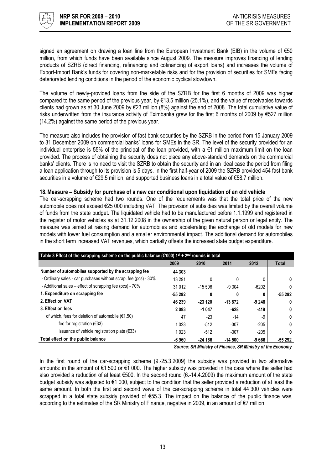

signed an agreement on drawing a loan line from the European Investment Bank (EIB) in the volume of €50 million, from which funds have been available since August 2009. The measure improves financing of lending products of SZRB (direct financing, refinancing and cofinancing of export loans) and increases the volume of Export-Import Bank's funds for covering non-marketable risks and for the provision of securities for SMEs facing deteriorated lending conditions in the period of the economic cyclical slowdown.

The volume of newly-provided loans from the side of the SZRB for the first 6 months of 2009 was higher compared to the same period of the previous year, by €13.5 million (25.1%), and the value of receivables towards clients had grown as at 30 June 2009 by €23 million (8%) against the end of 2008. The total cumulative value of risks underwritten from the insurance activity of Eximbanka grew for the first 6 months of 2009 by €527 million (14.2%) against the same period of the previous year.

The measure also includes the provision of fast bank securities by the SZRB in the period from 15 January 2009 to 31 December 2009 on commercial banks' loans for SMEs in the SR. The level of the security provided for an individual enterprise is 55% of the principal of the loan provided, with a €1 million maximum limit on the loan provided. The process of obtaining the security does not place any above-standard demands on the commercial banks' clients. There is no need to visit the SZRB to obtain the security and in an ideal case the period from filing a loan application through to its provision is 5 days. In the first half-year of 2009 the SZRB provided 454 fast bank securities in a volume of €29.5 million, and supported business loans in a total value of €58.7 million.

#### 18.Measure – Subsidy for purchase of a new car conditional upon liquidation of an old vehicle

The car-scrapping scheme had two rounds. One of the requirements was that the total price of the new automobile does not exceed €25 000 including VAT. The provision of subsidies was limited by the overall volume of funds from the state budget. The liquidated vehicle had to be manufactured before 1.1.1999 and registered in the register of motor vehicles as at 31.12.2008 in the ownership of the given natural person or legal entity. The measure was aimed at raising demand for automobiles and accelerating the exchange of old models for new models with lower fuel consumption and a smaller environmental impact. The additional demand for automobiles in the short term increased VAT revenues, which partially offsets the increased state budget expenditure.

| Table 3 Effect of the scrapping scheme on the public balance ( $\epsilon$ '000) 1st + 2 <sup>nd</sup> rounds in total |          |          |          |         |              |  |  |  |  |  |  |
|-----------------------------------------------------------------------------------------------------------------------|----------|----------|----------|---------|--------------|--|--|--|--|--|--|
|                                                                                                                       | 2009     | 2010     | 2011     | 2012    | <b>Total</b> |  |  |  |  |  |  |
| Number of automobiles supported by the scrapping fee                                                                  | 44 303   |          |          |         |              |  |  |  |  |  |  |
| - Ordinary sales - car purchases without scrap. fee (pcs) - 30%                                                       | 13 291   | 0        | 0        | 0       | 0            |  |  |  |  |  |  |
| - Additional sales - effect of scrapping fee (pcs) - 70%                                                              | 31 0 12  | $-15506$ | $-9.304$ | $-6202$ | 0            |  |  |  |  |  |  |
| 1. Expenditure on scrapping fee                                                                                       | $-55292$ | 0        | 0        | 0       | $-55292$     |  |  |  |  |  |  |
| 2. Effect on VAT                                                                                                      | 46 239   | $-23120$ | $-13872$ | $-9248$ | 0            |  |  |  |  |  |  |
| 3. Effect on fees                                                                                                     | 2093     | $-1047$  | $-628$   | -419    | 0            |  |  |  |  |  |  |
| of which, fees for deletion of automobile ( $€1.50$ )                                                                 | 47       | $-23$    | $-14$    | -9      | 0            |  |  |  |  |  |  |
| fee for registration $(633)$                                                                                          | 1 0 2 3  | $-512$   | $-307$   | $-205$  | 0            |  |  |  |  |  |  |
| issuance of vehicle registration plate $(633)$                                                                        | 1023     | $-512$   | $-307$   | $-205$  | 0            |  |  |  |  |  |  |
| Total effect on the public balance                                                                                    | -6 960   | $-24166$ | $-14500$ | $-9666$ | -55 292      |  |  |  |  |  |  |

Source: SR Ministry of Finance, SR Ministry of the Economy

In the first round of the car-scrapping scheme (9.-25.3.2009) the subsidy was provided in two alternative amounts: in the amount of €1 500 or €1 000. The higher subsidy was provided in the case where the seller had also provided a reduction of at least €500. In the second round (6.-14.4.2009) the maximum amount of the state budget subsidy was adjusted to €1 000, subject to the condition that the seller provided a reduction of at least the same amount. In both the first and second wave of the car-scrapping scheme in total 44 300 vehicles were scrapped in a total state subsidy provided of €55.3. The impact on the balance of the public finance was, according to the estimates of the SR Ministry of Finance, negative in 2009, in an amount of €7 million.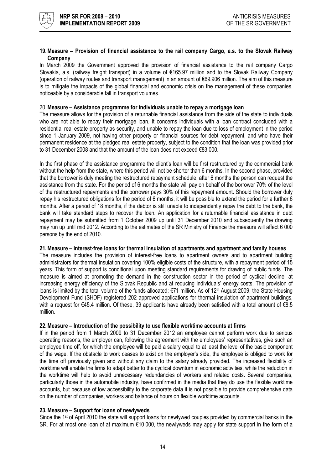

#### 19.Measure – Provision of financial assistance to the rail company Cargo, a.s. to the Slovak Railway **Company**

In March 2009 the Government approved the provision of financial assistance to the rail company Cargo Slovakia, a.s. (railway freight transport) in a volume of €165.97 million and to the Slovak Railway Company (operation of railway routes and transport management) in an amount of €69.906 million. The aim of this measure is to mitigate the impacts of the global financial and economic crisis on the management of these companies, noticeable by a considerable fall in transport volumes.

#### 20.Measure – Assistance programme for individuals unable to repay a mortgage loan

The measure allows for the provision of a returnable financial assistance from the side of the state to individuals who are not able to repay their mortgage loan. It concerns individuals with a loan contract concluded with a residential real estate property as security, and unable to repay the loan due to loss of employment in the period since 1 January 2009, not having other property or financial sources for debt repayment, and who have their permanent residence at the pledged real estate property, subject to the condition that the loan was provided prior to 31 December 2008 and that the amount of the loan does not exceed €83 000.

In the first phase of the assistance programme the client's loan will be first restructured by the commercial bank without the help from the state, where this period will not be shorter than 6 months. In the second phase, provided that the borrower is duly meeting the restructured repayment schedule, after 6 months the person can request the assistance from the state. For the period of 6 months the state will pay on behalf of the borrower 70% of the level of the restructured repayments and the borrower pays 30% of this repayment amount. Should the borrower duly repay his restructured obligations for the period of 6 months, it will be possible to extend the period for a further 6 months. After a period of 18 months, if the debtor is still unable to independently repay the debt to the bank, the bank will take standard steps to recover the loan. An application for a returnable financial assistance in debt repayment may be submitted from 1 October 2009 up until 31 December 2010 and subsequently the drawing may run up until mid 2012. According to the estimates of the SR Ministry of Finance the measure will affect 6 000 persons by the end of 2010.

#### 21.Measure – Interest-free loans for thermal insulation of apartments and apartment and family houses

The measure includes the provision of interest-free loans to apartment owners and to apartment building administrators for thermal insulation covering 100% eligible costs of the structure, with a repayment period of 15 years. This form of support is conditional upon meeting standard requirements for drawing of public funds. The measure is aimed at promoting the demand in the construction sector in the period of cyclical decline, at increasing energy efficiency of the Slovak Republic and at reducing individuals' energy costs. The provision of loans is limited by the total volume of the funds allocated:  $\epsilon$ 71 million. As of 12<sup>th</sup> August 2009, the State Housing Development Fund (SHDF) registered 202 approved applications for thermal insulation of apartment buildings, with a request for €45.4 million. Of these, 39 applicants have already been satisfied with a total amount of €8.5 million.

#### 22.Measure – Introduction of the possibility to use flexible worktime accounts at firms

If in the period from 1 March 2009 to 31 December 2012 an employee cannot perform work due to serious operating reasons, the employer can, following the agreement with the employees' representatives, give such an employee time off, for which the employee will be paid a salary equal to at least the level of the basic component of the wage. If the obstacle to work ceases to exist on the employer's side, the employee is obliged to work for the time off previously given and without any claim to the salary already provided. The increased flexibility of worktime will enable the firms to adapt better to the cyclical downturn in economic activities, while the reduction in the worktime will help to avoid unnecessary redundancies of workers and related costs. Several companies, particularly those in the automobile industry, have confirmed in the media that they do use the flexible worktime accounts, but because of low accessibility to the corporate data it is not possible to provide comprehensive data on the number of companies, workers and balance of hours on flexible worktime accounts.

#### 23.Measure – Support for loans of newlyweds

Since the 1<sup>st</sup> of April 2010 the state will support loans for newlywed couples provided by commercial banks in the SR. For at most one loan of at maximum €10 000, the newlyweds may apply for state support in the form of a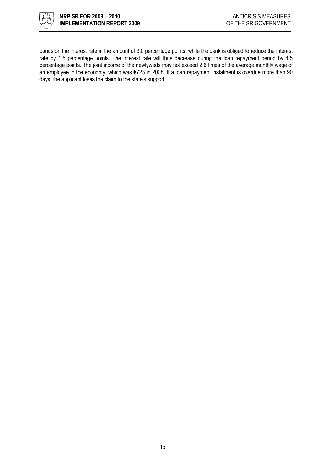

bonus on the interest rate in the amount of 3.0 percentage points, while the bank is obliged to reduce the interest rate by 1.5 percentage points. The interest rate will thus decrease during the loan repayment period by 4.5 percentage points. The joint income of the newlyweds may not exceed 2.6 times of the average monthly wage of an employee in the economy, which was €723 in 2008. If a loan repayment instalment is overdue more than 90 days, the applicant loses the claim to the state's support.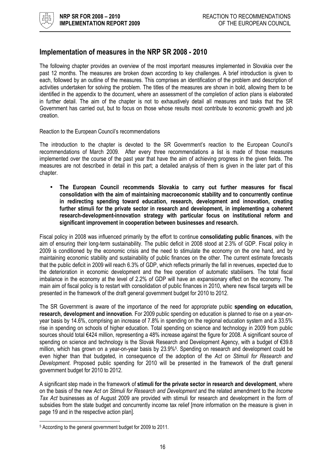

# Implementation of measures in the NRP SR 2008 - 2010

The following chapter provides an overview of the most important measures implemented in Slovakia over the past 12 months. The measures are broken down according to key challenges. A brief introduction is given to each, followed by an outline of the measures. This comprises an identification of the problem and description of activities undertaken for solving the problem. The titles of the measures are shown in bold, allowing them to be identified in the appendix to the document, where an assessment of the completion of action plans is elaborated in further detail. The aim of the chapter is not to exhaustively detail all measures and tasks that the SR Government has carried out, but to focus on those whose results most contribute to economic growth and job creation.

#### Reaction to the European Council's recommendations

The introduction to the chapter is devoted to the SR Government's reaction to the European Council's recommendations of March 2009. After every three recommendations a list is made of those measures implemented over the course of the past year that have the aim of achieving progress in the given fields. The measures are not described in detail in this part; a detailed analysis of them is given in the later part of this chapter.

• The European Council recommends Slovakia to carry out further measures for fiscal consolidation with the aim of maintaining macroeconomic stability and to concurrently continue in redirecting spending toward education, research, development and innovation, creating further stimuli for the private sector in research and development, in implementing a coherent research-development-innovation strategy with particular focus on institutional reform and significant improvement in cooperation between businesses and research.

Fiscal policy in 2008 was influenced primarily by the effort to continue consolidating public finances, with the aim of ensuring their long-term sustainability. The public deficit in 2008 stood at 2.3% of GDP. Fiscal policy in 2009 is conditioned by the economic crisis and the need to stimulate the economy on the one hand, and by maintaining economic stability and sustainability of public finances on the other. The current estimate forecasts that the public deficit in 2009 will reach 6.3% of GDP, which reflects primarily the fall in revenues, expected due to the deterioration in economic development and the free operation of automatic stabilisers. The total fiscal imbalance in the economy at the level of 2.2% of GDP will have an expansionary effect on the economy. The main aim of fiscal policy is to restart with consolidation of public finances in 2010, where new fiscal targets will be presented in the framework of the draft general government budget for 2010 to 2012.

The SR Government is aware of the importance of the need for appropriate public spending on education, research, development and innovation. For 2009 public spending on education is planned to rise on a year-onyear basis by 14.6%, comprising an increase of 7.8% in spending on the regional education system and a 33.5% rise in spending on schools of higher education. Total spending on science and technology in 2009 from public sources should total €424 million, representing a 48% increase against the figure for 2008. A significant source of spending on science and technology is the Slovak Research and Development Agency, with a budget of €39.8 million, which has grown on a year-on-year basis by 23.9%<sup>5</sup> . Spending on research and development could be even higher than that budgeted, in consequence of the adoption of the Act on Stimuli for Research and Development. Proposed public spending for 2010 will be presented in the framework of the draft general government budget for 2010 to 2012.

A significant step made in the framework of stimuli for the private sector in research and development, where on the basis of the new Act on Stimuli for Research and Development and the related amendment to the Income Tax Act businesses as of August 2009 are provided with stimuli for research and development in the form of subsidies from the state budget and concurrently income tax relief [more information on the measure is given in page 19 and in the respective action plan].

l 5 According to the general government budget for 2009 to 2011.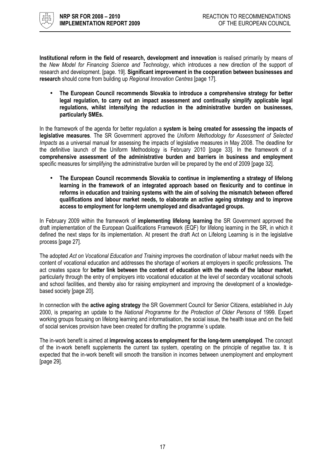

Institutional reform in the field of research, development and innovation is realised primarily by means of the New Model for Financing Science and Technology, which introduces a new direction of the support of research and development. [page. 19]. Significant improvement in the cooperation between businesses and research should come from building up Regional Innovation Centres [page 17].

• The European Council recommends Slovakia to introduce a comprehensive strategy for better legal regulation, to carry out an impact assessment and continually simplify applicable legal regulations, whilst intensifying the reduction in the administrative burden on businesses, particularly SMEs.

In the framework of the agenda for better regulation a system is being created for assessing the impacts of legislative measures. The SR Government approved the Uniform Methodology for Assessment of Selected Impacts as a universal manual for assessing the impacts of legislative measures in May 2008. The deadline for the definitive launch of the Uniform Methodology is February 2010 [page 33]. In the framework of a comprehensive assessment of the administrative burden and barriers in business and employment specific measures for simplifying the administrative burden will be prepared by the end of 2009 [page 32].

• The European Council recommends Slovakia to continue in implementing a strategy of lifelong learning in the framework of an integrated approach based on flexicurity and to continue in reforms in education and training systems with the aim of solving the mismatch between offered qualifications and labour market needs, to elaborate an active ageing strategy and to improve access to employment for long-term unemployed and disadvantaged groups.

In February 2009 within the framework of **implementing lifelong learning** the SR Government approved the draft implementation of the European Qualifications Framework (EQF) for lifelong learning in the SR, in which it defined the next steps for its implementation. At present the draft Act on Lifelong Learning is in the legislative process [page 27].

The adopted Act on Vocational Education and Training improves the coordination of labour market needs with the content of vocational education and addresses the shortage of workers at employers in specific professions. The act creates space for better link between the content of education with the needs of the labour market, particularly through the entry of employers into vocational education at the level of secondary vocational schools and school facilities, and thereby also for raising employment and improving the development of a knowledgebased society [page 20].

In connection with the **active aging strategy** the SR Government Council for Senior Citizens, established in July 2000, is preparing an update to the National Programme for the Protection of Older Persons of 1999. Expert working groups focusing on lifelong learning and informatisation, the social issue, the health issue and on the field of social services provision have been created for drafting the programme´s update.

The in-work benefit is aimed at improving access to employment for the long-term unemployed. The concept of the in-work benefit supplements the current tax system, operating on the principle of negative tax. It is expected that the in-work benefit will smooth the transition in incomes between unemployment and employment [page 29].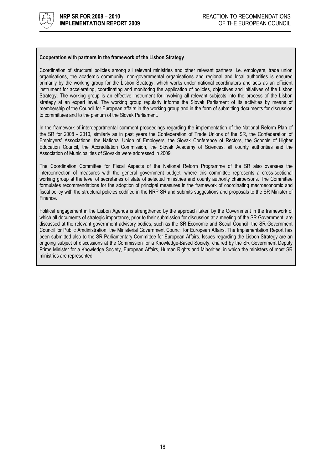

#### Cooperation with partners in the framework of the Lisbon Strategy

Coordination of structural policies among all relevant ministries and other relevant partners, i.e. employers, trade union organisations, the academic community, non-governmental organisations and regional and local authorities is ensured primarily by the working group for the Lisbon Strategy, which works under national coordinators and acts as an efficient instrument for accelerating, coordinating and monitoring the application of policies, objectives and initiatives of the Lisbon Strategy. The working group is an effective instrument for involving all relevant subjects into the process of the Lisbon strategy at an expert level. The working group regularly informs the Slovak Parliament of its activities by means of membership of the Council for European affairs in the working group and in the form of submitting documents for discussion to committees and to the plenum of the Slovak Parliament.

In the framework of interdepartmental comment proceedings regarding the implementation of the National Reform Plan of the SR for 2008 - 2010, similarly as in past years the Confederation of Trade Unions of the SR, the Confederation of Employers' Associations, the National Union of Employers, the Slovak Conference of Rectors, the Schools of Higher Education Council, the Accreditation Commission, the Slovak Academy of Sciences, all county authorities and the Association of Municipalities of Slovakia were addressed in 2009.

The Coordination Committee for Fiscal Aspects of the National Reform Programme of the SR also oversees the interconnection of measures with the general government budget, where this committee represents a cross-sectional working group at the level of secretaries of state of selected ministries and county authority chairpersons. The Committee formulates recommendations for the adoption of principal measures in the framework of coordinating macroeconomic and fiscal policy with the structural policies codified in the NRP SR and submits suggestions and proposals to the SR Minister of Finance.

Political engagement in the Lisbon Agenda is strengthened by the approach taken by the Government in the framework of which all documents of strategic importance, prior to their submission for discussion at a meeting of the SR Government, are discussed at the relevant government advisory bodies, such as the SR Economic and Social Council, the SR Government Council for Public Amdinistration, the Ministerial Government Council for European Affairs. The Implementation Report has been submitted also to the SR Parliamentary Committee for European Affairs. Issues regarding the Lisbon Strategy are an ongoing subject of discussions at the Commission for a Knowledge-Based Society, chaired by the SR Government Deputy Prime Minister for a Knowledge Society, European Affairs, Human Rights and Minorities, in which the ministers of most SR ministries are represented.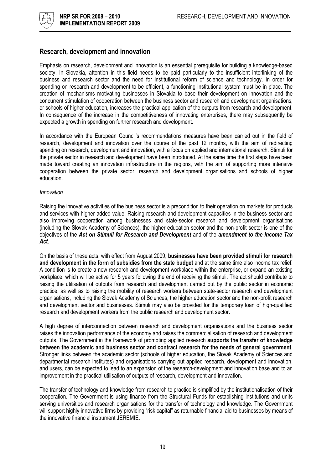### Research, development and innovation

Emphasis on research, development and innovation is an essential prerequisite for building a knowledge-based society. In Slovakia, attention in this field needs to be paid particularly to the insufficient interlinking of the business and research sector and the need for institutional reform of science and technology. In order for spending on research and development to be efficient, a functioning institutional system must be in place. The creation of mechanisms motivating businesses in Slovakia to base their development on innovation and the concurrent stimulation of cooperation between the business sector and research and development organisations, or schools of higher education, increases the practical application of the outputs from research and development. In consequence of the increase in the competitiveness of innovating enterprises, there may subsequently be expected a growth in spending on further research and development.

In accordance with the European Council's recommendations measures have been carried out in the field of research, development and innovation over the course of the past 12 months, with the aim of redirecting spending on research, development and innovation, with a focus on applied and international research. Stimuli for the private sector in research and development have been introduced. At the same time the first steps have been made toward creating an innovation infrastructure in the regions, with the aim of supporting more intensive cooperation between the private sector, research and development organisations and schools of higher education.

#### Innovation

Raising the innovative activities of the business sector is a precondition to their operation on markets for products and services with higher added value. Raising research and development capacities in the business sector and also improving cooperation among businesses and state-sector research and development organisations (including the Slovak Academy of Sciences), the higher education sector and the non-profit sector is one of the objectives of the Act on Stimuli for Research and Development and of the amendment to the Income Tax Act.

On the basis of these acts, with effect from August 2009, businesses have been provided stimuli for research and development in the form of subsidies from the state budget and at the same time also income tax relief. A condition is to create a new research and development workplace within the enterprise, or expand an existing workplace, which will be active for 5 years following the end of receiving the stimuli. The act should contribute to raising the utilisation of outputs from research and development carried out by the public sector in economic practice, as well as to raising the mobility of research workers between state-sector research and development organisations, including the Slovak Academy of Sciences, the higher education sector and the non-profit research and development sector and businesses. Stimuli may also be provided for the temporary loan of high-qualified research and development workers from the public research and development sector.

A high degree of interconnection between research and development organisations and the business sector raises the innovation performance of the economy and raises the commercialisation of research and development outputs. The Government in the framework of promoting applied research supports the transfer of knowledge between the academic and business sector and contract research for the needs of general government. Stronger links between the academic sector (schools of higher education, the Slovak Academy of Sciences and departmental research institutes) and organisations carrying out applied research, development and innovation, and users, can be expected to lead to an expansion of the research-development and innovation base and to an improvement in the practical utilisation of outputs of research, development and innovation.

The transfer of technology and knowledge from research to practice is simplified by the institutionalisation of their cooperation. The Government is using finance from the Structural Funds for establishing institutions and units serving universities and research organisations for the transfer of technology and knowledge. The Government will support highly innovative firms by providing "risk capital" as returnable financial aid to businesses by means of the innovative financial instrument JEREMIE.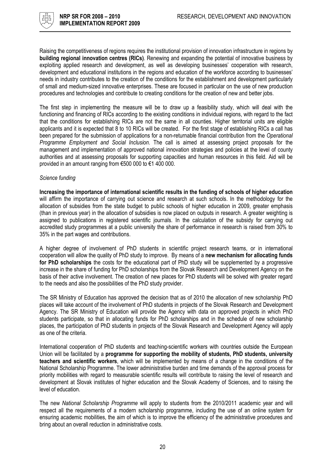Raising the competitiveness of regions requires the institutional provision of innovation infrastructure in regions by building regional innovation centres (RICs). Renewing and expanding the potential of innovative business by exploiting applied research and development, as well as developing businesses' cooperation with research, development and educational institutions in the regions and education of the workforce according to businesses' needs in industry contributes to the creation of the conditions for the establishment and development particularly of small and medium-sized innovative enterprises. These are focused in particular on the use of new production procedures and technologies and contribute to creating conditions for the creation of new and better jobs.

The first step in implementing the measure will be to draw up a feasibility study, which will deal with the functioning and financing of RICs according to the existing conditions in individual regions, with regard to the fact that the conditions for establishing RICs are not the same in all counties. Higher territorial units are eligible applicants and it is expected that 8 to 10 RICs will be created. For the first stage of establishing RICs a call has been prepared for the submission of applications for a non-returnable financial contribution from the Operational Programme Employment and Social Inclusion. The call is aimed at assessing project proposals for the management and implementation of approved national innovation strategies and policies at the level of county authorities and at assessing proposals for supporting capacities and human resources in this field. Aid will be provided in an amount ranging from €500 000 to €1 400 000.

#### Science funding

Increasing the importance of international scientific results in the funding of schools of higher education will affirm the importance of carrying out science and research at such schools. In the methodology for the allocation of subsidies from the state budget to public schools of higher education in 2009, greater emphasis (than in previous year) in the allocation of subsidies is now placed on outputs in research. A greater weighting is assigned to publications in registered scientific journals. In the calculation of the subsidy for carrying out accredited study programmes at a public university the share of performance in research is raised from 30% to 35% in the part wages and contributions.

A higher degree of involvement of PhD students in scientific project research teams, or in international cooperation will allow the quality of PhD study to improve. By means of a new mechanism for allocating funds for PhD scholarships the costs for the educational part of PhD study will be supplemented by a progressive increase in the share of funding for PhD scholarships from the Slovak Research and Development Agency on the basis of their active involvement. The creation of new places for PhD students will be solved with greater regard to the needs and also the possibilities of the PhD study provider.

The SR Ministry of Education has approved the decision that as of 2010 the allocation of new scholarship PhD places will take account of the involvement of PhD students in projects of the Slovak Research and Development Agency. The SR Ministry of Education will provide the Agency with data on approved projects in which PhD students participate, so that in allocating funds for PhD scholarships and in the schedule of new scholarship places, the participation of PhD students in projects of the Slovak Research and Development Agency will apply as one of the criteria.

International cooperation of PhD students and teaching-scientific workers with countries outside the European Union will be facilitated by a programme for supporting the mobility of students, PhD students, university teachers and scientific workers, which will be implemented by means of a change in the conditions of the National Scholarship Programme. The lower administrative burden and time demands of the approval process for priority mobilities with regard to measurable scientific results will contribute to raising the level of research and development at Slovak institutes of higher education and the Slovak Academy of Sciences, and to raising the level of education.

The new National Scholarship Programme will apply to students from the 2010/2011 academic year and will respect all the requirements of a modern scholarship programme, including the use of an online system for ensuring academic mobilities, the aim of which is to improve the efficiency of the administrative procedures and bring about an overall reduction in administrative costs.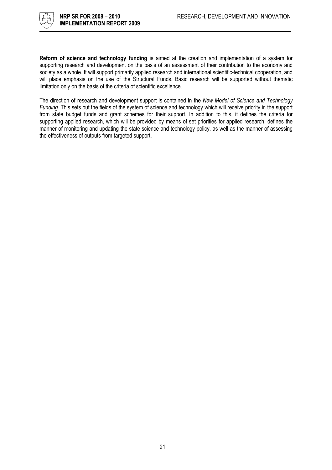

Reform of science and technology funding is aimed at the creation and implementation of a system for supporting research and development on the basis of an assessment of their contribution to the economy and society as a whole. It will support primarily applied research and international scientific-technical cooperation, and will place emphasis on the use of the Structural Funds. Basic research will be supported without thematic limitation only on the basis of the criteria of scientific excellence.

The direction of research and development support is contained in the New Model of Science and Technology Funding. This sets out the fields of the system of science and technology which will receive priority in the support from state budget funds and grant schemes for their support. In addition to this, it defines the criteria for supporting applied research, which will be provided by means of set priorities for applied research, defines the manner of monitoring and updating the state science and technology policy, as well as the manner of assessing the effectiveness of outputs from targeted support.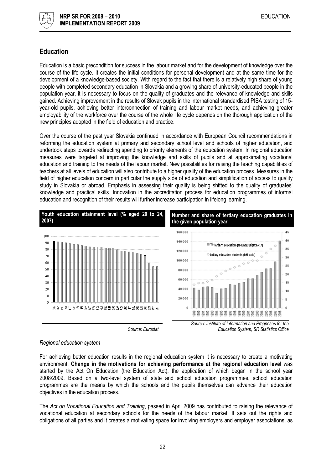

# Education

Education is a basic precondition for success in the labour market and for the development of knowledge over the course of the life cycle. It creates the initial conditions for personal development and at the same time for the development of a knowledge-based society. With regard to the fact that there is a relatively high share of young people with completed secondary education in Slovakia and a growing share of university-educated people in the population year, it is necessary to focus on the quality of graduates and the relevance of knowledge and skills gained. Achieving improvement in the results of Slovak pupils in the international standardised PISA testing of 15 year-old pupils, achieving better interconnection of training and labour market needs, and achieving greater employability of the workforce over the course of the whole life cycle depends on the thorough application of the new principles adopted in the field of education and practice.

Over the course of the past year Slovakia continued in accordance with European Council recommendations in reforming the education system at primary and secondary school level and schools of higher education, and undertook steps towards redirecting spending to priority elements of the education system. In regional education measures were targeted at improving the knowledge and skills of pupils and at approximating vocational education and training to the needs of the labour market. New possibilities for raising the teaching capabilities of teachers at all levels of education will also contribute to a higher quality of the education process. Measures in the field of higher education concern in particular the supply side of education and simplification of access to quality study in Slovakia or abroad. Emphasis in assessing their quality is being shifted to the quality of graduates' knowledge and practical skills. Innovation in the accreditation process for education programmes of informal education and recognition of their results will further increase participation in lifelong learning.



#### Regional education system

For achieving better education results in the regional education system it is necessary to create a motivating environment. Change in the motivations for achieving performance at the regional education level was started by the Act On Education (the Education Act), the application of which began in the school year 2008/2009. Based on a two-level system of state and school education programmes, school education programmes are the means by which the schools and the pupils themselves can advance their education objectives in the education process.

The Act on Vocational Education and Training, passed in April 2009 has contributed to raising the relevance of vocational education at secondary schools for the needs of the labour market. It sets out the rights and obligations of all parties and it creates a motivating space for involving employers and employer associations, as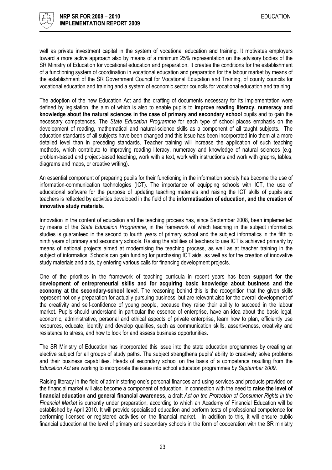

well as private investment capital in the system of vocational education and training. It motivates employers toward a more active approach also by means of a minimum 25% representation on the advisory bodies of the SR Ministry of Education for vocational education and preparation. It creates the conditions for the establishment of a functioning system of coordination in vocational education and preparation for the labour market by means of the establishment of the SR Government Council for Vocational Education and Training, of county councils for vocational education and training and a system of economic sector councils for vocational education and training.

The adoption of the new Education Act and the drafting of documents necessary for its implementation were defined by legislation, the aim of which is also to enable pupils to improve reading literacy, numeracy and knowledge about the natural sciences in the case of primary and secondary school pupils and to gain the necessary competences. The State Education Programme for each type of school places emphasis on the development of reading, mathematical and natural-science skills as a component of all taught subjects. The education standards of all subjects have been changed and this issue has been incorporated into them at a more detailed level than in preceding standards. Teacher training will increase the application of such teaching methods, which contribute to improving reading literacy, numeracy and knowledge of natural sciences (e.g. problem-based and project-based teaching, work with a text, work with instructions and work with graphs, tables, diagrams and maps, or creative writing).

An essential component of preparing pupils for their functioning in the information society has become the use of information-communication technologies (ICT). The importance of equipping schools with ICT, the use of educational software for the purpose of updating teaching materials and raising the ICT skills of pupils and teachers is reflected by activities developed in the field of the informatisation of education, and the creation of innovative study materials.

Innovation in the content of education and the teaching process has, since September 2008, been implemented by means of the State Education Programme, in the framework of which teaching in the subject informatics studies is guaranteed in the second to fourth years of primary school and the subject informatics in the fifth to ninth years of primary and secondary schools. Raising the abilities of teachers to use ICT is achieved primarily by means of national projects aimed at modernising the teaching process, as well as at teacher training in the subject of informatics. Schools can gain funding for purchasing ICT aids, as well as for the creation of innovative study materials and aids, by entering various calls for financing development projects.

One of the priorities in the framework of teaching curricula in recent years has been support for the development of entrepreneurial skills and for acquiring basic knowledge about business and the economy at the secondary-school level. The reasoning behind this is the recognition that the given skills represent not only preparation for actually pursuing business, but are relevant also for the overall development of the creativity and self-confidence of young people, because they raise their ability to succeed in the labour market. Pupils should understand in particular the essence of enterprise, have an idea about the basic legal, economic, administrative, personal and ethical aspects of private enterprise, learn how to plan, efficiently use resources, educate, identify and develop qualities, such as communication skills, assertiveness, creativity and resistance to stress, and how to look for and assess business opportunities.

The SR Ministry of Education has incorporated this issue into the state education programmes by creating an elective subject for all groups of study paths. The subject strengthens pupils' ability to creatively solve problems and their business capabilities. Heads of secondary school on the basis of a competence resulting from the Education Act are working to incorporate the issue into school education programmes by September 2009.

Raising literacy in the field of administering one's personal finances and using services and products provided on the financial market will also become a component of education. In connection with the need to raise the level of financial education and general financial awareness, a draft Act on the Protection of Consumer Rights in the Financial Market is currently under preparation, according to which an Academy of Financial Education will be established by April 2010. It will provide specialised education and perform tests of professional competence for performing licensed or registered activities on the financial market. In addition to this, it will ensure public financial education at the level of primary and secondary schools in the form of cooperation with the SR ministry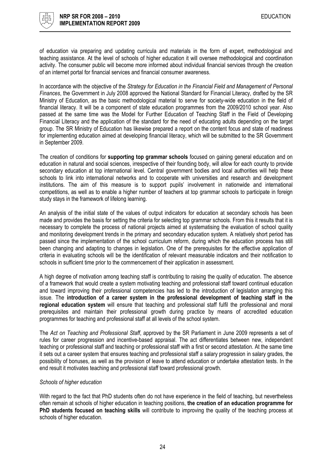

of education via preparing and updating curricula and materials in the form of expert, methodological and teaching assistance. At the level of schools of higher education it will oversee methodological and coordination activity. The consumer public will become more informed about individual financial services through the creation of an internet portal for financial services and financial consumer awareness.

In accordance with the objective of the Strategy for Education in the Financial Field and Management of Personal Finances, the Government in July 2008 approved the National Standard for Financial Literacy, drafted by the SR Ministry of Education, as the basic methodological material to serve for society-wide education in the field of financial literacy. It will be a component of state education programmes from the 2009/2010 school year. Also passed at the same time was the Model for Further Education of Teaching Staff in the Field of Developing Financial Literacy and the application of the standard for the need of educating adults depending on the target group. The SR Ministry of Education has likewise prepared a report on the content focus and state of readiness for implementing education aimed at developing financial literacy, which will be submitted to the SR Government in September 2009.

The creation of conditions for supporting top grammar schools focused on gaining general education and on education in natural and social sciences, irrespective of their founding body, will allow for each county to provide secondary education at top international level. Central government bodies and local authorities will help these schools to link into international networks and to cooperate with universities and research and development institutions. The aim of this measure is to support pupils' involvement in nationwide and international competitions, as well as to enable a higher number of teachers at top grammar schools to participate in foreign study stays in the framework of lifelong learning.

An analysis of the initial state of the values of output indicators for education at secondary schools has been made and provides the basis for setting the criteria for selecting top grammar schools. From this it results that it is necessary to complete the process of national projects aimed at systematising the evaluation of school quality and monitoring development trends in the primary and secondary education system. A relatively short period has passed since the implementation of the school curriculum reform, during which the education process has still been changing and adapting to changes in legislation. One of the prerequisites for the effective application of criteria in evaluating schools will be the identification of relevant measurable indicators and their notification to schools in sufficient time prior to the commencement of their application in assessment.

A high degree of motivation among teaching staff is contributing to raising the quality of education. The absence of a framework that would create a system motivating teaching and professional staff toward continual education and toward improving their professional competencies has led to the introduction of legislation arranging this issue. The introduction of a career system in the professional development of teaching staff in the regional education system will ensure that teaching and professional staff fulfil the professional and moral prerequisites and maintain their professional growth during practice by means of accredited education programmes for teaching and professional staff at all levels of the school system.

The Act on Teaching and Professional Staff, approved by the SR Parliament in June 2009 represents a set of rules for career progression and incentive-based appraisal. The act differentiates between new, independent teaching or professional staff and teaching or professional staff with a first or second attestation. At the same time it sets out a career system that ensures teaching and professional staff a salary progression in salary grades, the possibility of bonuses, as well as the provision of leave to attend education or undertake attestation tests. In the end result it motivates teaching and professional staff toward professional growth.

#### Schools of higher education

With regard to the fact that PhD students often do not have experience in the field of teaching, but nevertheless often remain at schools of higher education in teaching positions, the creation of an education programme for PhD students focused on teaching skills will contribute to improving the quality of the teaching process at schools of higher education.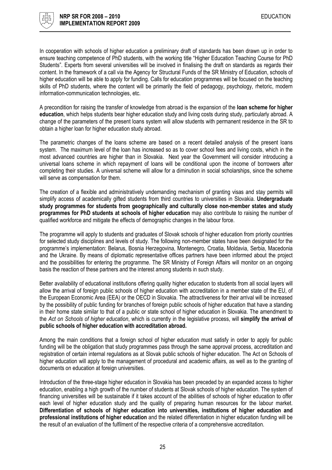

In cooperation with schools of higher education a preliminary draft of standards has been drawn up in order to ensure teaching competence of PhD students, with the working title "Higher Education Teaching Course for PhD Students". Experts from several universities will be involved in finalising the draft on standards as regards their content. In the framework of a call via the Agency for Structural Funds of the SR Ministry of Education, schools of higher education will be able to apply for funding. Calls for education programmes will be focused on the teaching skills of PhD students, where the content will be primarily the field of pedagogy, psychology, rhetoric, modern information-communication technologies, etc.

A precondition for raising the transfer of knowledge from abroad is the expansion of the loan scheme for higher education, which helps students bear higher education study and living costs during study, particularly abroad. A change of the parameters of the present loans system will allow students with permanent residence in the SR to obtain a higher loan for higher education study abroad.

The parametric changes of the loans scheme are based on a recent detailed analysis of the present loans system. The maximum level of the loan has increased so as to cover school fees and living costs, which in the most advanced countries are higher than in Slovakia. Next year the Government will consider introducing a universal loans scheme in which repayment of loans will be conditional upon the income of borrowers after completing their studies. A universal scheme will allow for a diminution in social scholarships, since the scheme will serve as compensation for them.

The creation of a flexible and administratively undemanding mechanism of granting visas and stay permits will simplify access of academically gifted students from third countries to universities in Slovakia. Undergraduate study programmes for students from geographically and culturally close non-member states and study programmes for PhD students at schools of higher education may also contribute to raising the number of qualified workforce and mitigate the effects of demographic changes in the labour force.

The programme will apply to students and graduates of Slovak schools of higher education from priority countries for selected study disciplines and levels of study. The following non-member states have been designated for the programme's implementation: Belarus, Bosnia Herzegovina, Montenegro, Croatia, Moldavia, Serbia, Macedonia and the Ukraine. By means of diplomatic representative offices partners have been informed about the project and the possibilities for entering the programme. The SR Ministry of Foreign Affairs will monitor on an ongoing basis the reaction of these partners and the interest among students in such study.

Better availability of educational institutions offering quality higher education to students from all social layers will allow the arrival of foreign public schools of higher education with accreditation in a member state of the EU, of the European Economic Area (EEA) or the OECD in Slovakia. The attractiveness for their arrival will be increased by the possibility of public funding for branches of foreign public schools of higher education that have a standing in their home state similar to that of a public or state school of higher education in Slovakia. The amendment to the Act on Schools of higher education, which is currently in the legislative process, will simplify the arrival of public schools of higher education with accreditation abroad.

Among the main conditions that a foreign school of higher education must satisfy in order to apply for public funding will be the obligation that study programmes pass through the same approval process, accreditation and registration of certain internal regulations as at Slovak public schools of higher education. The Act on Schools of higher education will apply to the management of procedural and academic affairs, as well as to the granting of documents on education at foreign universities.

Introduction of the three-stage higher education in Slovakia has been preceded by an expanded access to higher education, enabling a high growth of the number of students at Slovak schools of higher education. The system of financing universities will be sustainable if it takes account of the abilities of schools of higher education to offer each level of higher education study and the quality of preparing human resources for the labour market. Differentiation of schools of higher education into universities, institutions of higher education and professional institutions of higher education and the related differentiation in higher education funding will be the result of an evaluation of the fulfilment of the respective criteria of a comprehensive accreditation.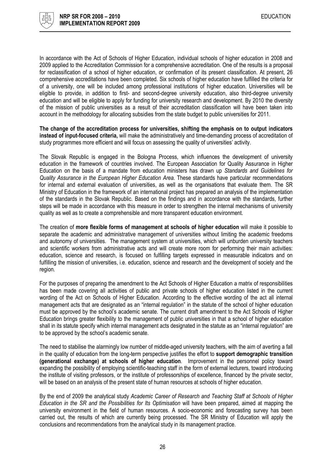

In accordance with the Act of Schools of Higher Education, individual schools of higher education in 2008 and 2009 applied to the Accreditation Commission for a comprehensive accreditation. One of the results is a proposal for reclassification of a school of higher education, or confirmation of its present classification. At present, 26 comprehensive accreditations have been completed. Six schools of higher education have fulfilled the criteria for of a university, one will be included among professional institutions of higher education. Universities will be eligible to provide, in addition to first- and second-degree university education, also third-degree university education and will be eligible to apply for funding for university research and development. By 2010 the diversity of the mission of public universities as a result of their accreditation classification will have been taken into account in the methodology for allocating subsidies from the state budget to public universities for 2011.

The change of the accreditation process for universities, shifting the emphasis on to output indicators instead of input-focused criteria, will make the administratively and time-demanding process of accreditation of study programmes more efficient and will focus on assessing the quality of universities' activity.

The Slovak Republic is engaged in the Bologna Process, which influences the development of university education in the framework of countries involved. The European Association for Quality Assurance in Higher Education on the basis of a mandate from education ministers has drawn up Standards and Guidelines for Quality Assurance in the European Higher Education Area. These standards have particular recommendations for internal and external evaluation of universities, as well as the organisations that evaluate them. The SR Ministry of Education in the framework of an international project has prepared an analysis of the implementation of the standards in the Slovak Republic. Based on the findings and in accordance with the standards, further steps will be made in accordance with this measure in order to strengthen the internal mechanisms of university quality as well as to create a comprehensible and more transparent education environment.

The creation of more flexible forms of management at schools of higher education will make it possible to separate the academic and administrative management of universities without limiting the academic freedoms and autonomy of universities. The management system at universities, which will unburden university teachers and scientific workers from administrative acts and will create more room for performing their main activities: education, science and research, is focused on fulfilling targets expressed in measurable indicators and on fulfilling the mission of universities, i.e. education, science and research and the development of society and the region.

For the purposes of preparing the amendment to the Act Schools of Higher Education a matrix of responsibilities has been made covering all activities of public and private schools of higher education listed in the current wording of the Act on Schools of Higher Education. According to the effective wording of the act all internal management acts that are designated as an "internal regulation" in the statute of the school of higher education must be approved by the school's academic senate. The current draft amendment to the Act Schools of Higher Education brings greater flexibility to the management of public universities in that a school of higher education shall in its statute specify which internal management acts designated in the statute as an "internal regulation" are to be approved by the school's academic senate.

The need to stabilise the alarmingly low number of middle-aged university teachers, with the aim of averting a fall in the quality of education from the long-term perspective justifies the effort to support demographic transition (generational exchange) at schools of higher education. Improvement in the personnel policy toward expanding the possibility of employing scientific-teaching staff in the form of external lecturers, toward introducing the institute of visiting professors, or the institute of professorships of excellence, financed by the private sector, will be based on an analysis of the present state of human resources at schools of higher education.

By the end of 2009 the analytical study Academic Career of Research and Teaching Staff at Schools of Higher Education in the SR and the Possibilities for Its Optimisation will have been prepared, aimed at mapping the university environment in the field of human resources. A socio-economic and forecasting survey has been carried out, the results of which are currently being processed. The SR Ministry of Education will apply the conclusions and recommendations from the analytical study in its management practice.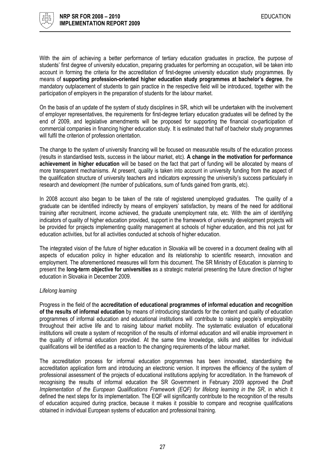

With the aim of achieving a better performance of tertiary education graduates in practice, the purpose of students' first degree of university education, preparing graduates for performing an occupation, will be taken into account in forming the criteria for the accreditation of first-degree university education study programmes. By means of supporting profession-oriented higher education study programmes at bachelor's degree, the mandatory outplacement of students to gain practice in the respective field will be introduced, together with the participation of employers in the preparation of students for the labour market.

On the basis of an update of the system of study disciplines in SR, which will be undertaken with the involvement of employer representatives, the requirements for first-degree tertiary education graduates will be defined by the end of 2009, and legislative amendments will be proposed for supporting the financial co-participation of commercial companies in financing higher education study. It is estimated that half of bachelor study programmes will fulfil the criterion of profession orientation.

The change to the system of university financing will be focused on measurable results of the education process (results in standardised tests, success in the labour market, etc). A change in the motivation for performance achievement in higher education will be based on the fact that part of funding will be allocated by means of more transparent mechanisms. At present, quality is taken into account in university funding from the aspect of the qualification structure of university teachers and indicators expressing the university's success particularly in research and development (the number of publications, sum of funds gained from grants, etc).

In 2008 account also began to be taken of the rate of registered unemployed graduates. The quality of a graduate can be identified indirectly by means of employers' satisfaction, by means of the need for additional training after recruitment, income achieved, the graduate unemployment rate, etc. With the aim of identifying indicators of quality of higher education provided, support in the framework of university development projects will be provided for projects implementing quality management at schools of higher education, and this not just for education activities, but for all activities conducted at schools of higher education.

The integrated vision of the future of higher education in Slovakia will be covered in a document dealing with all aspects of education policy in higher education and its relationship to scientific research, innovation and employment. The aforementioned measures will form this document. The SR Ministry of Education is planning to present the long-term objective for universities as a strategic material presenting the future direction of higher education in Slovakia in December 2009.

#### Lifelong learning

Progress in the field of the accreditation of educational programmes of informal education and recognition of the results of informal education by means of introducing standards for the content and quality of education programmes of informal education and educational institutions will contribute to raising people's employability throughout their active life and to raising labour market mobility. The systematic evaluation of educational institutions will create a system of recognition of the results of informal education and will enable improvement in the quality of informal education provided. At the same time knowledge, skills and abilities for individual qualifications will be identified as a reaction to the changing requirements of the labour market.

The accreditation process for informal education programmes has been innovated, standardising the accreditation application form and introducing an electronic version. It improves the efficiency of the system of professional assessment of the projects of educational institutions applying for accreditation. In the framework of recognising the results of informal education the SR Government in February 2009 approved the Draft Implementation of the European Qualifications Framework (EQF) for lifelong learning in the SR, in which it defined the next steps for its implementation. The EQF will significantly contribute to the recognition of the results of education acquired during practice, because it makes it possible to compare and recognise qualifications obtained in individual European systems of education and professional training.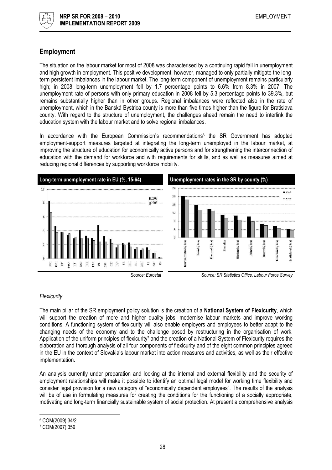

# Employment

The situation on the labour market for most of 2008 was characterised by a continuing rapid fall in unemployment and high growth in employment. This positive development, however, managed to only partially mitigate the longterm persistent imbalances in the labour market. The long-term component of unemployment remains particularly high; in 2008 long-term unemployment fell by 1.7 percentage points to 6.6% from 8.3% in 2007. The unemployment rate of persons with only primary education in 2008 fell by 5.3 percentage points to 39.3%, but remains substantially higher than in other groups. Regional imbalances were reflected also in the rate of unemployment, which in the Banská Bystrica county is more than five times higher than the figure for Bratislava county. With regard to the structure of unemployment, the challenges ahead remain the need to interlink the education system with the labour market and to solve regional imbalances.

In accordance with the European Commission's recommendations<sup>6</sup> the SR Government has adopted employment-support measures targeted at integrating the long-term unemployed in the labour market, at improving the structure of education for economically active persons and for strengthening the interconnection of education with the demand for workforce and with requirements for skills, and as well as measures aimed at reducing regional differences by supporting workforce mobility.



#### **Flexicurity**

The main pillar of the SR employment policy solution is the creation of a **National System of Flexicurity**, which will support the creation of more and higher quality jobs, modernise labour markets and improve working conditions. A functioning system of flexicurity will also enable employers and employees to better adapt to the changing needs of the economy and to the challenge posed by restructuring in the organisation of work. Application of the uniform principles of flexicurity<sup>7</sup> and the creation of a National System of Flexicurity requires the elaboration and thorough analysis of all four components of flexicurity and of the eight common principles agreed in the EU in the context of Slovakia's labour market into action measures and activities, as well as their effective implementation.

An analysis currently under preparation and looking at the internal and external flexibility and the security of employment relationships will make it possible to identify an optimal legal model for working time flexibility and consider legal provision for a new category of "economically dependent employees". The results of the analysis will be of use in formulating measures for creating the conditions for the functioning of a socially appropriate, motivating and long-term financially sustainable system of social protection. At present a comprehensive analysis

 $\overline{\phantom{a}}$ 

<sup>6</sup> COM(2009) 34/2

<sup>7</sup> COM(2007) 359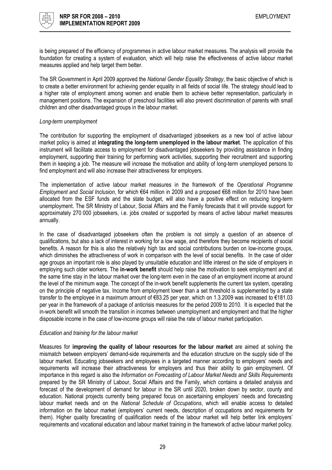

is being prepared of the efficiency of programmes in active labour market measures. The analysis will provide the foundation for creating a system of evaluation, which will help raise the effectiveness of active labour market measures applied and help target them better.

The SR Government in April 2009 approved the National Gender Equality Strategy, the basic objective of which is to create a better environment for achieving gender equality in all fields of social life. The strategy should lead to a higher rate of employment among women and enable them to achieve better representation, particularly in management positions. The expansion of preschool facilities will also prevent discrimination of parents with small children and other disadvantaged groups in the labour market.

#### Long-term unemployment

The contribution for supporting the employment of disadvantaged jobseekers as a new tool of active labour market policy is aimed at integrating the long-term unemployed in the labour market. The application of this instrument will facilitate access to employment for disadvantaged jobseekers by providing assistance in finding employment, supporting their training for performing work activities, supporting their recruitment and supporting them in keeping a job. The measure will increase the motivation and ability of long-term unemployed persons to find employment and will also increase their attractiveness for employers.

The implementation of active labour market measures in the framework of the Operational Programme Employment and Social Inclusion, for which €64 million in 2009 and a proposed €68 million for 2010 have been allocated from the ESF funds and the state budget, will also have a positive effect on reducing long-term unemployment. The SR Ministry of Labour, Social Affairs and the Family forecasts that it will provide support for approximately 270 000 jobseekers, i.e. jobs created or supported by means of active labour market measures annually.

In the case of disadvantaged jobseekers often the problem is not simply a question of an absence of qualifications, but also a lack of interest in working for a low wage, and therefore they become recipients of social benefits. A reason for this is also the relatively high tax and social contributions burden on low-income groups, which diminishes the attractiveness of work in comparison with the level of social benefits. In the case of older age groups an important role is also played by unsuitable education and little interest on the side of employers in employing such older workers. The in-work benefit should help raise the motivation to seek employment and at the same time stay in the labour market over the long-term even in the case of an employment income at around the level of the minimum wage. The concept of the in-work benefit supplements the current tax system, operating on the principle of negative tax. Income from employment lower than a set threshold is supplemented by a state transfer to the employee in a maximum amount of €83.25 per year, which on 1.3.2009 was increased to €181.03 per year in the framework of a package of anticrisis measures for the period 2009 to 2010. It is expected that the in-work benefit will smooth the transition in incomes between unemployment and employment and that the higher disposable income in the case of low-income groups will raise the rate of labour market participation.

#### Education and training for the labour market

Measures for improving the quality of labour resources for the labour market are aimed at solving the mismatch between employers' demand-side requirements and the education structure on the supply side of the labour market. Educating jobseekers and employees in a targeted manner according to employers' needs and requirements will increase their attractiveness for employers and thus their ability to gain employment. Of importance in this regard is also the Information on Forecasting of Labour Market Needs and Skills Requirements prepared by the SR Ministry of Labour, Social Affairs and the Family, which contains a detailed analysis and forecast of the development of demand for labour in the SR until 2020, broken down by sector, county and education. National projects currently being prepared focus on ascertaining employers' needs and forecasting labour market needs and on the National Schedule of Occupations, which will enable access to detailed information on the labour market (employers' current needs, description of occupations and requirements for them). Higher quality forecasting of qualification needs of the labour market will help better link employers' requirements and vocational education and labour market training in the framework of active labour market policy.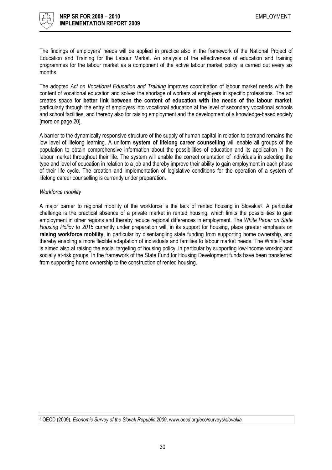

The findings of employers' needs will be applied in practice also in the framework of the National Project of Education and Training for the Labour Market. An analysis of the effectiveness of education and training programmes for the labour market as a component of the active labour market policy is carried out every six months.

The adopted Act on Vocational Education and Training improves coordination of labour market needs with the content of vocational education and solves the shortage of workers at employers in specific professions. The act creates space for better link between the content of education with the needs of the labour market, particularly through the entry of employers into vocational education at the level of secondary vocational schools and school facilities, and thereby also for raising employment and the development of a knowledge-based society [more on page 20].

A barrier to the dynamically responsive structure of the supply of human capital in relation to demand remains the low level of lifelong learning. A uniform system of lifelong career counselling will enable all groups of the population to obtain comprehensive information about the possibilities of education and its application in the labour market throughout their life. The system will enable the correct orientation of individuals in selecting the type and level of education in relation to a job and thereby improve their ability to gain employment in each phase of their life cycle. The creation and implementation of legislative conditions for the operation of a system of lifelong career counselling is currently under preparation.

#### Workforce mobility

l

A major barrier to regional mobility of the workforce is the lack of rented housing in Slovakia<sup>8</sup>. A particular challenge is the practical absence of a private market in rented housing, which limits the possibilities to gain employment in other regions and thereby reduce regional differences in employment. The White Paper on State Housing Policy to 2015 currently under preparation will, in its support for housing, place greater emphasis on raising workforce mobility, in particular by disentangling state funding from supporting home ownership, and thereby enabling a more flexible adaptation of individuals and families to labour market needs. The White Paper is aimed also at raising the social targeting of housing policy, in particular by supporting low-income working and socially at-risk groups. In the framework of the State Fund for Housing Development funds have been transferred from supporting home ownership to the construction of rented housing.

<sup>8</sup> OECD (2009), Economic Survey of the Slovak Republic 2009, www.oecd.org/eco/surveys/slovakia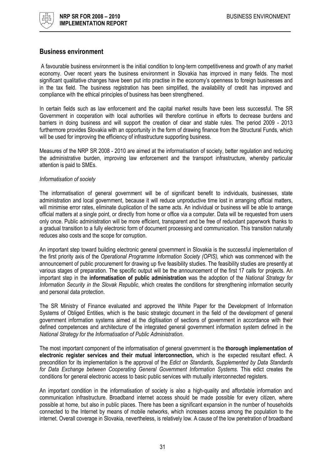

#### Business environment

 A favourable business environment is the initial condition to long-term competitiveness and growth of any market economy. Over recent years the business environment in Slovakia has improved in many fields. The most significant qualitative changes have been put into practise in the economy's openness to foreign businesses and in the tax field. The business registration has been simplified, the availability of credit has improved and compliance with the ethical principles of business has been strengthened.

In certain fields such as law enforcement and the capital market results have been less successful. The SR Government in cooperation with local authorities will therefore continue in efforts to decrease burdens and barriers in doing business and will support the creation of clear and stable rules. The period 2009 - 2013 furthermore provides Slovakia with an opportunity in the form of drawing finance from the Structural Funds, which will be used for improving the efficiency of infrastructure supporting business.

Measures of the NRP SR 2008 - 2010 are aimed at the informatisation of society, better regulation and reducing the administrative burden, improving law enforcement and the transport infrastructure, whereby particular attention is paid to SMEs.

#### Informatisation of society

The informatisation of general government will be of significant benefit to individuals, businesses, state administration and local government, because it will reduce unproductive time lost in arranging official matters, will minimise error rates, eliminate duplication of the same acts. An individual or business will be able to arrange official matters at a single point, or directly from home or office via a computer. Data will be requested from users only once. Public administration will be more efficient, transparent and be free of redundant paperwork thanks to a gradual transition to a fully electronic form of document processing and communication. This transition naturally reduces also costs and the scope for corruption.

An important step toward building electronic general government in Slovakia is the successful implementation of the first priority axis of the Operational Programme Information Society (OPIS), which was commenced with the announcement of public procurement for drawing up five feasibility studies. The feasibility studies are presently at various stages of preparation. The specific output will be the announcement of the first 17 calls for projects. An important step in the informatisation of public administration was the adoption of the National Strategy for Information Security in the Slovak Republic, which creates the conditions for strengthening information security and personal data protection.

The SR Ministry of Finance evaluated and approved the White Paper for the Development of Information Systems of Obliged Entities, which is the basic strategic document in the field of the development of general government information systems aimed at the digitisation of sections of government in accordance with their defined competences and architecture of the integrated general government information system defined in the National Strategy for the Informatisation of Public Administration.

The most important component of the informatisation of general government is the thorough implementation of electronic register services and their mutual interconnection, which is the expected resultant effect. A precondition for its implementation is the approval of the Edict on Standards, Supplemented by Data Standards for Data Exchange between Cooperating General Government Information Systems. This edict creates the conditions for general electronic access to basic public services with mutually interconnected registers.

An important condition in the informatisation of society is also a high-quality and affordable information and communication infrastructure. Broadband internet access should be made possible for every citizen, where possible at home, but also in public places. There has been a significant expansion in the number of households connected to the Internet by means of mobile networks, which increases access among the population to the internet. Overall coverage in Slovakia, nevertheless, is relatively low. A cause of the low penetration of broadband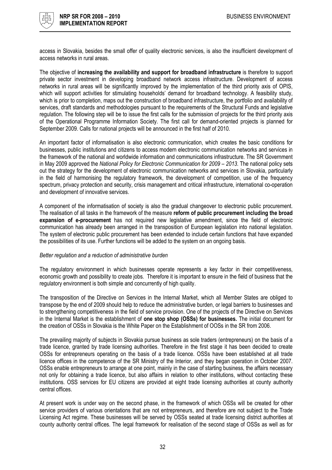

access in Slovakia, besides the small offer of quality electronic services, is also the insufficient development of access networks in rural areas.

The objective of increasing the availability and support for broadband infrastructure is therefore to support private sector investment in developing broadband network access infrastructure. Development of access networks in rural areas will be significantly improved by the implementation of the third priority axis of OPIS, which will support activities for stimulating households' demand for broadband technology. A feasibility study, which is prior to completion, maps out the construction of broadband infrastructure, the portfolio and availability of services, draft standards and methodologies pursuant to the requirements of the Structural Funds and legislative regulation. The following step will be to issue the first calls for the submission of projects for the third priority axis of the Operational Programme Information Society. The first call for demand-oriented projects is planned for September 2009. Calls for national projects will be announced in the first half of 2010.

An important factor of informatisation is also electronic communication, which creates the basic conditions for businesses, public institutions and citizens to access modern electronic communication networks and services in the framework of the national and worldwide information and communications infrastructure. The SR Government in May 2009 approved the National Policy for Electronic Communication for 2009 – 2013. The national policy sets out the strategy for the development of electronic communication networks and services in Slovakia, particularly in the field of harmonising the regulatory framework, the development of competition, use of the frequency spectrum, privacy protection and security, crisis management and critical infrastructure, international co-operation and development of innovative services.

A component of the informatisation of society is also the gradual changeover to electronic public procurement. The realisation of all tasks in the framework of the measure reform of public procurement including the broad expansion of e-procurement has not required new legislative amendment, since the field of electronic communication has already been arranged in the transposition of European legislation into national legislation. The system of electronic public procurement has been extended to include certain functions that have expanded the possibilities of its use. Further functions will be added to the system on an ongoing basis.

#### Better regulation and a reduction of administrative burden

The regulatory environment in which businesses operate represents a key factor in their competitiveness, economic growth and possibility to create jobs. Therefore it is important to ensure in the field of business that the regulatory environment is both simple and concurrently of high quality.

The transposition of the Directive on Services in the Internal Market, which all Member States are obliged to transpose by the end of 2009 should help to reduce the administrative burden, or legal barriers to businesses and to strengthening competitiveness in the field of service provision. One of the projects of the Directive on Services in the Internal Market is the establishment of one stop shop (OSSs) for businesses. The initial document for the creation of OSSs in Slovakia is the White Paper on the Establishment of OOSs in the SR from 2006.

The prevailing majority of subjects in Slovakia pursue business as sole traders (entrepreneurs) on the basis of a trade licence, granted by trade licensing authorities. Therefore in the first stage it has been decided to create OSSs for entrepreneurs operating on the basis of a trade licence. OSSs have been established at all trade licence offices in the competence of the SR Ministry of the Interior, and they began operation in October 2007. OSSs enable entrepreneurs to arrange at one point, mainly in the case of starting business, the affairs necessary not only for obtaining a trade licence, but also affairs in relation to other institutions, without contacting these institutions. OSS services for EU citizens are provided at eight trade licensing authorities at county authority central offices.

At present work is under way on the second phase, in the framework of which OSSs will be created for other service providers of various orientations that are not entrepreneurs, and therefore are not subject to the Trade Licensing Act regime. These businesses will be served by OSSs seated at trade licensing district authorities at county authority central offices. The legal framework for realisation of the second stage of OSSs as well as for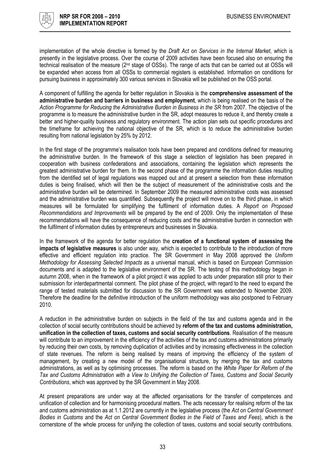

implementation of the whole directive is formed by the Draft Act on Services in the Internal Market, which is presently in the legislative process. Over the course of 2009 activities have been focused also on ensuring the technical realisation of the measure (2nd stage of OSSs). The range of acts that can be carried out at OSSs will be expanded when access from all OSSs to commercial registers is established. Information on conditions for pursuing business in approximately 300 various services in Slovakia will be published on the OSS portal.

A component of fulfilling the agenda for better regulation in Slovakia is the comprehensive assessment of the administrative burden and barriers in business and employment, which is being realised on the basis of the Action Programme for Reducing the Administrative Burden in Business in the SR from 2007. The objective of the programme is to measure the administrative burden in the SR, adopt measures to reduce it, and thereby create a better and higher-quality business and regulatory environment. The action plan sets out specific procedures and the timeframe for achieving the national objective of the SR, which is to reduce the administrative burden resulting from national legislation by 25% by 2012.

In the first stage of the programme's realisation tools have been prepared and conditions defined for measuring the administrative burden. In the framework of this stage a selection of legislation has been prepared in cooperation with business confederations and associations, containing the legislation which represents the greatest administrative burden for them. In the second phase of the programme the information duties resulting from the identified set of legal regulations was mapped out and at present a selection from these information duties is being finalised, which will then be the subject of measurement of the administrative costs and the administrative burden will be determined. In September 2009 the measured administrative costs was assessed and the administrative burden was quantified. Subsequently the project will move on to the third phase, in which measures will be formulated for simplifying the fulfilment of information duties. A Report on Proposed Recommendations and Improvements will be prepared by the end of 2009. Only the implementation of these recommendations will have the consequence of reducing costs and the administrative burden in connection with the fulfilment of information duties by entrepreneurs and businesses in Slovakia.

In the framework of the agenda for better regulation the creation of a functional system of assessing the impacts of legislative measures is also under way, which is expected to contribute to the introduction of more effective and efficient regulation into practice. The SR Government in May 2008 approved the Uniform Methodology for Assessing Selected Impacts as a universal manual, which is based on European Commission documents and is adapted to the legislative environment of the SR. The testing of this methodology began in autumn 2008, when in the framework of a pilot project it was applied to acts under preparation still prior to their submission for interdepartmental comment. The pilot phase of the project, with regard to the need to expand the range of tested materials submitted for discussion to the SR Government was extended to November 2009. Therefore the deadline for the definitive introduction of the uniform methodology was also postponed to February 2010.

A reduction in the administrative burden on subjects in the field of the tax and customs agenda and in the collection of social security contributions should be achieved by reform of the tax and customs administration, unification in the collection of taxes, customs and social security contributions. Realisation of the measure will contribute to an improvement in the efficiency of the activities of the tax and customs administrations primarily by reducing their own costs, by removing duplication of activities and by increasing effectiveness in the collection of state revenues. The reform is being realised by means of improving the efficiency of the system of management, by creating a new model of the organisational structure, by merging the tax and customs administrations, as well as by optimising processes. The reform is based on the White Paper for Reform of the Tax and Customs Administration with a View to Unifying the Collection of Taxes, Customs and Social Security Contributions, which was approved by the SR Government in May 2008.

At present preparations are under way at the affected organisations for the transfer of competences and unification of collection and for harmonising procedural matters. The acts necessary for realising reform of the tax and customs administration as at 1.1.2012 are currently in the legislative process (the Act on Central Government Bodies in Customs and the Act on Central Government Bodies in the Field of Taxes and Fees), which is the cornerstone of the whole process for unifying the collection of taxes, customs and social security contributions.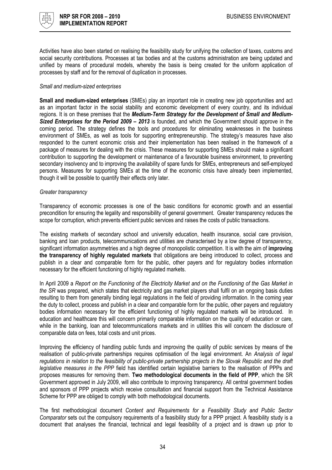

Activities have also been started on realising the feasibility study for unifying the collection of taxes, customs and social security contributions. Processes at tax bodies and at the customs administration are being updated and unified by means of procedural models, whereby the basis is being created for the uniform application of processes by staff and for the removal of duplication in processes.

#### Small and medium-sized enterprises

Small and medium-sized enterprises (SMEs) play an important role in creating new job opportunities and act as an important factor in the social stability and economic development of every country, and its individual regions. It is on these premises that the Medium-Term Strategy for the Development of Small and Medium-Sized Enterprises for the Period 2009 – 2013 is founded, and which the Government should approve in the coming period. The strategy defines the tools and procedures for eliminating weaknesses in the business environment of SMEs, as well as tools for supporting entrepreneurship. The strategy's measures have also responded to the current economic crisis and their implementation has been realised in the framework of a package of measures for dealing with the crisis. These measures for supporting SMEs should make a significant contribution to supporting the development or maintenance of a favourable business environment, to preventing secondary insolvency and to improving the availability of spare funds for SMEs, entrepreneurs and self-employed persons. Measures for supporting SMEs at the time of the economic crisis have already been implemented, though it will be possible to quantify their effects only later.

#### Greater transparency

Transparency of economic processes is one of the basic conditions for economic growth and an essential precondition for ensuring the legality and responsibility of general government. Greater transparency reduces the scope for corruption, which prevents efficient public services and raises the costs of public transactions.

The existing markets of secondary school and university education, health insurance, social care provision, banking and loan products, telecommunications and utilities are characterised by a low degree of transparency, significant information asymmetries and a high degree of monopolistic competition. It is with the aim of *improving* the transparency of highly regulated markets that obligations are being introduced to collect, process and publish in a clear and comparable form for the public, other payers and for regulatory bodies information necessary for the efficient functioning of highly regulated markets.

In April 2009 a Report on the Functioning of the Electricity Market and on the Functioning of the Gas Market in the SR was prepared, which states that electricity and gas market players shall fulfil on an ongoing basis duties resulting to them from generally binding legal regulations in the field of providing information. In the coming year the duty to collect, process and publish in a clear and comparable form for the public, other payers and regulatory bodies information necessary for the efficient functioning of highly regulated markets will be introduced. In education and healthcare this will concern primarily comparable information on the quality of education or care, while in the banking, loan and telecommunications markets and in utilities this will concern the disclosure of comparable data on fees, total costs and unit prices.

Improving the efficiency of handling public funds and improving the quality of public services by means of the realisation of public-private partnerships requires optimisation of the legal environment. An Analysis of legal regulations in relation to the feasibility of public-private partnership projects in the Slovak Republic and the draft legislative measures in the PPP field has identified certain legislative barriers to the realisation of PPPs and proposes measures for removing them. Two methodological documents in the field of PPP, which the SR Government approved in July 2009, will also contribute to improving transparency. All central government bodies and sponsors of PPP projects which receive consultation and financial support from the Technical Assistance Scheme for PPP are obliged to comply with both methodological documents.

The first methodological document Content and Requirements for a Feasibility Study and Public Sector Comparator sets out the compulsory requirements of a feasibility study for a PPP project. A feasibility study is a document that analyses the financial, technical and legal feasibility of a project and is drawn up prior to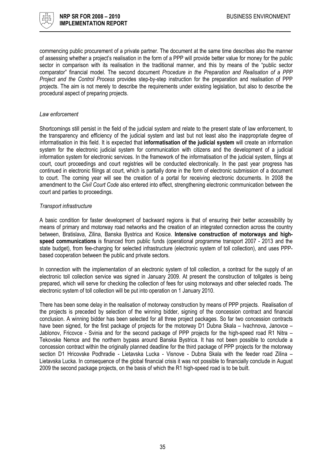

commencing public procurement of a private partner. The document at the same time describes also the manner of assessing whether a project's realisation in the form of a PPP will provide better value for money for the public sector in comparison with its realisation in the traditional manner, and this by means of the "public sector comparator" financial model. The second document Procedure in the Preparation and Realisation of a PPP Project and the Control Process provides step-by-step instruction for the preparation and realisation of PPP projects. The aim is not merely to describe the requirements under existing legislation, but also to describe the procedural aspect of preparing projects.

#### Law enforcement

Shortcomings still persist in the field of the judicial system and relate to the present state of law enforcement, to the transparency and efficiency of the judicial system and last but not least also the inappropriate degree of informatisation in this field. It is expected that informatisation of the judicial system will create an information system for the electronic judicial system for communication with citizens and the development of a judicial information system for electronic services. In the framework of the informatisation of the judicial system, filings at court, court proceedings and court registries will be conducted electronically. In the past year progress has continued in electronic filings at court, which is partially done in the form of electronic submission of a document to court. The coming year will see the creation of a portal for receiving electronic documents. In 2008 the amendment to the Civil Court Code also entered into effect, strengthening electronic communication between the court and parties to proceedings.

#### Transport infrastructure

A basic condition for faster development of backward regions is that of ensuring their better accessibility by means of primary and motorway road networks and the creation of an integrated connection across the country between, Bratislava, Zilina, Banska Bystrica and Kosice. Intensive construction of motorways and highspeed communications is financed from public funds (operational programme transport 2007 - 2013 and the state budget), from fee-charging for selected infrastructure (electronic system of toll collection), and uses PPPbased cooperation between the public and private sectors.

In connection with the implementation of an electronic system of toll collection, a contract for the supply of an electronic toll collection service was signed in January 2009. At present the construction of tollgates is being prepared, which will serve for checking the collection of fees for using motorways and other selected roads. The electronic system of toll collection will be put into operation on 1 January 2010.

There has been some delay in the realisation of motorway construction by means of PPP projects. Realisation of the projects is preceded by selection of the winning bidder, signing of the concession contract and financial conclusion. A winning bidder has been selected for all three project packages. So far two concession contracts have been signed, for the first package of projects for the motorway D1 Dubna Skala – Ivachnova, Janovce – Jablonov, Fricovce - Svinia and for the second package of PPP projects for the high-speed road R1 Nitra – Tekovske Nemce and the northern bypass around Banska Bystrica. It has not been possible to conclude a concession contract within the originally planned deadline for the third package of PPP projects for the motorway section D1 Hricovske Podhradie - Lietavska Lucka - Visnove - Dubna Skala with the feeder road Zilina -Lietavska Lucka. In consequence of the global financial crisis it was not possible to financially conclude in August 2009 the second package projects, on the basis of which the R1 high-speed road is to be built.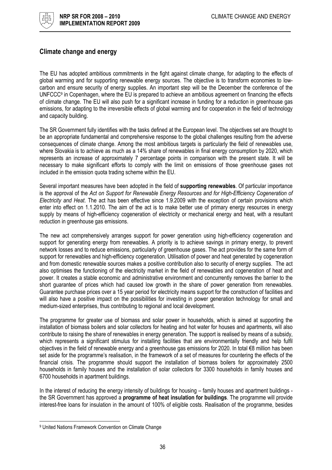

### Climate change and energy

The EU has adopted ambitious commitments in the fight against climate change, for adapting to the effects of global warming and for supporting renewable energy sources. The objective is to transform economies to lowcarbon and ensure security of energy supplies. An important step will be the December the conference of the UNFCCC<sup>9</sup> in Copenhagen, where the EU is prepared to achieve an ambitious agreement on financing the effects of climate change. The EU will also push for a significant increase in funding for a reduction in greenhouse gas emissions, for adapting to the irreversible effects of global warming and for cooperation in the field of technology and capacity building.

The SR Government fully identifies with the tasks defined at the European level. The objectives set are thought to be an appropriate fundamental and comprehensive response to the global challenges resulting from the adverse consequences of climate change. Among the most ambitious targets is particularly the field of renewables use, where Slovakia is to achieve as much as a 14% share of renewables in final energy consumption by 2020, which represents an increase of approximately 7 percentage points in comparison with the present state. It will be necessary to make significant efforts to comply with the limit on emissions of those greenhouse gases not included in the emission quota trading scheme within the EU.

Several important measures have been adopted in the field of supporting renewables. Of particular importance is the approval of the Act on Support for Renewable Energy Resources and for High-Efficiency Cogeneration of Electricity and Heat. The act has been effective since 1.9.2009 with the exception of certain provisions which enter into effect on 1.1.2010. The aim of the act is to make better use of primary energy resources in energy supply by means of high-efficiency cogeneration of electricity or mechanical energy and heat, with a resultant reduction in greenhouse gas emissions.

The new act comprehensively arranges support for power generation using high-efficiency cogeneration and support for generating energy from renewables. A priority is to achieve savings in primary energy, to prevent network losses and to reduce emissions, particularly of greenhouse gases. The act provides for the same form of support for renewables and high-efficiency cogeneration. Utilisation of power and heat generated by cogeneration and from domestic renewable sources makes a positive contribution also to security of energy supplies. The act also optimises the functioning of the electricity market in the field of renewables and cogeneration of heat and power. It creates a stable economic and administrative environment and concurrently removes the barrier to the short guarantee of prices which had caused low growth in the share of power generation from renewables. Guarantee purchase prices over a 15 year period for electricity means support for the construction of facilities and will also have a positive impact on the possibilities for investing in power generation technology for small and medium-sized enterprises, thus contributing to regional and local development.

The programme for greater use of biomass and solar power in households, which is aimed at supporting the installation of biomass boilers and solar collectors for heating and hot water for houses and apartments, will also contribute to raising the share of renewables in energy generation. The support is realised by means of a subsidy, which represents a significant stimulus for installing facilities that are environmentally friendly and help fulfil objectives in the field of renewable energy and a greenhouse gas emissions for 2020. In total €8 million has been set aside for the programme's realisation, in the framework of a set of measures for countering the effects of the financial crisis. The programme should support the installation of biomass boilers for approximately 2500 households in family houses and the installation of solar collectors for 3300 households in family houses and 6700 households in apartment buildings.

In the interest of reducing the energy intensity of buildings for housing – family houses and apartment buildings the SR Government has approved a **programme of heat insulation for buildings**. The programme will provide interest-free loans for insulation in the amount of 100% of eligible costs. Realisation of the programme, besides

l

<sup>9</sup> United Nations Framework Convention on Climate Change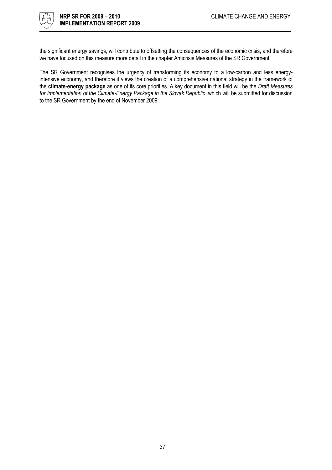

the significant energy savings, will contribute to offsetting the consequences of the economic crisis, and therefore we have focused on this measure more detail in the chapter Anticrisis Measures of the SR Government.

The SR Government recognises the urgency of transforming its economy to a low-carbon and less energyintensive economy, and therefore it views the creation of a comprehensive national strategy in the framework of the climate-energy package as one of its core priorities. A key document in this field will be the Draft Measures for Implementation of the Climate-Energy Package in the Slovak Republic, which will be submitted for discussion to the SR Government by the end of November 2009.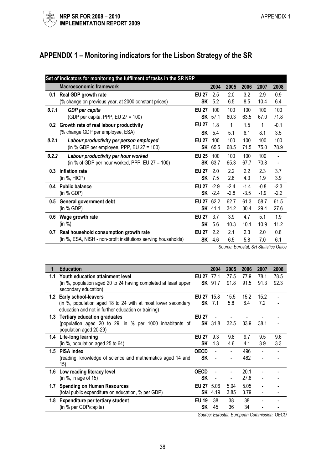# APPENDIX 1 – Monitoring indicators for the Lisbon Strategy of the SR

|       | Set of indicators for monitoring the fulfilment of tasks in the SR NRP |              |                |        |                       |        |        |
|-------|------------------------------------------------------------------------|--------------|----------------|--------|-----------------------|--------|--------|
|       | <b>Macroeconomic framework</b>                                         |              | 2004           | 2005   | 2006                  | 2007   | 2008   |
| 0.1   | Real GDP growth rate                                                   | <b>EU 27</b> | 2.5            | 2.0    | 3.2                   | 2.9    | 0.9    |
|       | (% change on previous year, at 2000 constant prices)                   | SK           | 5.2            | 6.5    | 8.5                   | 10.4   | 6.4    |
| 0.1.1 | GDP per capita                                                         | <b>EU 27</b> | 100            | 100    | 100                   | 100    | 100    |
|       | (GDP per capita, PPP, EU 27 = 100)                                     |              | <b>SK</b> 57.1 | 60.3   | 63.5                  | 67.0   | 71.8   |
| 0.2   | Growth rate of real labour productivity                                | <b>EU 27</b> | 1.8            | 1      | 1.5                   | 1      | $-0.1$ |
|       | (% change GDP per employee, ESA)                                       | SK           | 5.4            | 5.1    | 6.1                   | 8.1    | 3.5    |
| 0.2.1 | Labour productivity per person employed                                | <b>EU 27</b> | 100            | 100    | 100                   | 100    | 100    |
|       | (in % GDP per employee, PPP, EU 27 = 100)                              | SK           | 65.5           | 68.5   | 71.5                  | 75.0   | 78.9   |
| 0.2.2 | Labour productivity per hour worked                                    | <b>EU 25</b> | 100            | 100    | 100                   | 100    |        |
|       | (in % of GDP per hour worked, PPP, EU $27 = 100$ )                     | SK           | 63.7           | 65.3   | 67.7                  | 70.8   |        |
| 0.3   | Inflation rate                                                         | <b>EU 27</b> | 2.0            | 2.2    | 2.2                   | 2.3    | 3.7    |
|       | (in %, HICP)                                                           | SK           | 7.5            | 2.8    | 4.3                   | 1.9    | 3.9    |
| 0.4   | <b>Public balance</b>                                                  | <b>EU 27</b> | $-2.9$         | $-2.4$ | $-1.4$                | $-0.8$ | $-2.3$ |
|       | (in % GDP)                                                             | SK           | $-2.4$         | $-2.8$ | $-3.5$                | $-1.9$ | $-2.2$ |
| 0.5   | General government debt                                                | <b>EU 27</b> | 62.2           | 62.7   | 61.3                  | 58.7   | 61.5   |
|       | (in % GDP)                                                             |              | <b>SK</b> 41.4 | 34.2   | 30.4                  | 29.4   | 27.6   |
| 0.6   | Wage growth rate                                                       | <b>EU 27</b> | 3.7            | 3.9    | 4.7                   | 5.1    | 1.9    |
|       | (in %)                                                                 | SK           | 5.6            | 10.3   | 10.1                  | 10.9   | 11.2   |
| 0.7   | Real household consumption growth rate                                 | <b>EU 27</b> | 2.2            | 2.1    | 2.3                   | 2.0    | 0.8    |
|       | (in %, ESA, NISH - non-profit institutions serving households)         | <b>SK</b>    | 4.6            | 6.5    | 5.8                   | 7.0    | 6.1    |
|       |                                                                        |              |                |        | $\cdot$ $\sim$ $\sim$ | .      |        |

Source: Eurostat, SR Statistics Office

| 1   | <b>Education</b>                                                                                                                                   |                          | 2004           | 2005           | 2006         | 2007         | 2008         |
|-----|----------------------------------------------------------------------------------------------------------------------------------------------------|--------------------------|----------------|----------------|--------------|--------------|--------------|
| 1.1 | Youth education attainment level<br>(in %, population aged 20 to 24 having completed at least upper<br>secondary education)                        | <b>EU 27</b><br>SK       | 77.1<br>91.7   | 77.5<br>91.8   | 77.9<br>91.5 | 78.1<br>91.3 | 78.5<br>92.3 |
| 1.2 | <b>Early school-leavers</b><br>(in %, population aged 18 to 24 with at most lower secondary<br>education and not in further education or training) | <b>EU 27 15.8</b><br>SK  | 7.1            | 15.5<br>5.8    | 15.2<br>6.4  | 15.2<br>7.2  |              |
| 1.3 | <b>Tertiary education graduates</b><br>(population aged 20 to 29, in % per 1000 inhabitants of<br>population aged 20-29)                           | <b>EU 27</b>             | <b>SK</b> 31.8 | 32.5           | 33.9         | 38.1         |              |
| 1.4 | Life-long learning<br>(in $\%$ , population aged 25 to 64)                                                                                         | <b>EU 27</b><br>SK       | 9.3<br>4.3     | 9.8<br>4.6     | 9.7<br>4.1   | 9.5<br>3.9   | 9.6<br>3.3   |
|     | 1.5 PISA Index<br>(reading, knowledge of science and mathematics aged 14 and<br>15)                                                                | <b>OECD</b><br><b>SK</b> |                |                | 496<br>482   |              |              |
|     | 1.6 Low reading literacy level<br>(in $\%$ , in age of 15)                                                                                         | <b>OECD</b><br>SK        |                | $\blacksquare$ | 20.1<br>27.8 |              |              |
| 1.7 | <b>Spending on Human Resources</b><br>(total public expenditure on education, % per GDP)                                                           | EU 27 5.06               | <b>SK</b> 4.19 | 5.04<br>3.85   | 5.05<br>3.79 |              |              |
| 1.8 | Expenditure per tertiary student<br>(in % per GDP/capita)                                                                                          | <b>EU 19</b><br>SK.      | 38<br>45       | 38<br>36       | 38<br>34     |              |              |

Source: Eurostat, European Commission, OECD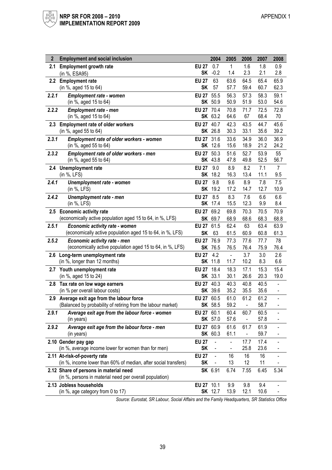| $\mathbf{2}$ | <b>Employment and social inclusion</b>                          |              | 2004           | 2005                     | 2006                     | 2007 | 2008                     |
|--------------|-----------------------------------------------------------------|--------------|----------------|--------------------------|--------------------------|------|--------------------------|
| 2.1          | <b>Employment growth rate</b>                                   | <b>EU 27</b> | 0.7            | 1                        | 1.6                      | 1.8  | 0.9                      |
|              | (in %, ESA95)                                                   | <b>SK</b>    | $-0.2$         | 1.4                      | 2.3                      | 2.1  | 2.8                      |
|              | 2.2 Employment rate                                             | <b>EU 27</b> | 63             | 63.6                     | 64.5                     | 65.4 | 65.9                     |
|              | (in %, aged 15 to 64)                                           | <b>SK</b>    | 57             | 57.7                     | 59.4                     | 60.7 | 62.3                     |
| 2.2.1        | <b>Employment rate - women</b>                                  | <b>EU 27</b> | 55.5           | 56.3                     | 57.3                     | 58.3 | 59.1                     |
|              | (in %, aged 15 to 64)                                           | SK           | 50.9           | 50.9                     | 51.9                     | 53.0 | 54.6                     |
| 2.2.2        | Employment rate - men                                           | <b>EU 27</b> | 70.4           | 70.8                     | 71.7                     | 72.5 | 72.8                     |
|              | (in %, aged 15 to 64)                                           |              | SK 63.2        | 64.6                     | 67                       | 68.4 | 70                       |
| 2.3          | <b>Employment rate of older workers</b>                         | <b>EU 27</b> | 40.7           | 42.3                     | 43.5                     | 44.7 | 45.6                     |
|              | (in %, aged 55 to 64)                                           |              | SK 26.8        | 30.3                     | 33.1                     | 35.6 | 39.2                     |
| 2.3.1        | <b>Employment rate of older workers - women</b>                 | <b>EU 27</b> | 31.6           | 33.6                     | 34.9                     | 36.0 | 36.9                     |
|              | (in %, aged 55 to 64)                                           |              | SK 12.6        | 15.6                     | 18.9                     | 21.2 | 24.2                     |
| 2.3.2        | Employment rate of older workers - men                          | <b>EU 27</b> | 50.3           | 51.6                     | 52.7                     | 53.9 | 55                       |
|              | (in %, aged 55 to 64)                                           |              | <b>SK</b> 43.8 | 47.8                     | 49.8                     | 52.5 | 56.7                     |
| 2.4          | Unemployment rate                                               | <b>EU 27</b> | 9.0            | 8.9                      | 8.2                      | 7.1  | $\overline{7}$           |
|              | (in %, LFS)                                                     | <b>SK</b>    | 18.2           | 16.3                     | 13.4                     | 11.1 | 9.5                      |
| 2.4.1        | Unemployment rate - women                                       | <b>EU 27</b> | 9.8            | 9.6                      | 8.9                      | 7.8  | 7.5                      |
|              | (in %, LFS)                                                     | <b>SK</b>    | 19.2           | 17.2                     | 14.7                     | 12.7 | 10.9                     |
| 2.4.2        | Unemployment rate - men                                         | <b>EU 27</b> | 8.5            | 8.3                      | 7.6                      | 6.6  | 6.6                      |
|              | (in %, LFS)                                                     | <b>SK</b>    | 17.4           | 15.5                     | 12.3                     | 9.9  | 8.4                      |
|              | 2.5 Economic activity rate                                      | <b>EU 27</b> | 69.2           | 69.8                     | 70.3                     | 70.5 | 70.9                     |
|              | (economically active population aged 15 to 64, in %, LFS)       |              | SK 69.7        | 68.9                     | 68.6                     | 68.3 | 68.8                     |
| 2.5.1        | Economic activity rate - women                                  | <b>EU 27</b> | 61.5           | 62.4                     | 63                       | 63.4 | 63.9                     |
|              | (economically active population aged 15 to 64, in %, LFS)       | <b>SK</b>    | 63             | 61.5                     | 60.9                     | 60.8 | 61.3                     |
| 2.5.2        | Economic activity rate - men                                    | <b>EU 27</b> | 76.9           | 77.3                     | 77.6                     | 77.7 | 78                       |
|              | (economically active population aged 15 to 64, in %, LFS)       |              | SK 76.5        | 76.5                     | 76.4                     | 75.9 | 76.4                     |
| 2.6          | Long-term unemployment rate                                     | <b>EU 27</b> | 4.2            | $\overline{\phantom{a}}$ | 3.7                      | 3.0  | 2.6                      |
|              | (in %, longer than 12 months)                                   |              | <b>SK</b> 11.8 | 11.7                     | 10.2                     | 8.3  | 6.6                      |
| 2.7          | Youth unemployment rate                                         | <b>EU 27</b> | 18.4           | 18.3                     | 17.1                     | 15.3 | 15.4                     |
|              | (in %, aged 15 to 24)                                           |              | <b>SK</b> 33.1 | 30.1                     | 26.6                     | 20.3 | 19.0                     |
|              | 2.8 Tax rate on low wage earners                                | <b>EU 27</b> | 40.3           | 40.3                     | 40.8                     | 40.5 | ä,                       |
|              | (in % per overall labour costs)                                 |              | SK 39.6        | 35.2                     | 35.5                     | 35.6 | $\overline{\phantom{a}}$ |
| 2.9          | Average exit age from the labour force                          | <b>EU 27</b> | 60.5           | 61.0                     | 61.2                     | 61.2 | $\overline{a}$           |
|              | (Balanced by probability of retiring from the labour market)    |              | SK 58.5        | 59.2                     |                          | 58.7 | $\blacksquare$           |
| 2.9.1        | Average exit age from the labour force - women                  | EU 27 60.1   |                | 60.4                     | 60.7                     | 60.5 | $\overline{\phantom{a}}$ |
|              | (in years)                                                      |              | <b>SK</b> 57.0 | 57.6                     | $\overline{\phantom{0}}$ | 57.8 |                          |
| 2.9.2        | Average exit age from the labour force - men                    | <b>EU 27</b> | 60.9           | 61.6                     | 61.7                     | 61.9 |                          |
|              | (in years)                                                      |              | SK 60.3        | 61.1                     | $\blacksquare$           | 59.7 |                          |
|              | 2.10 Gender pay gap                                             | <b>EU 27</b> |                |                          | 17.7                     | 17.4 |                          |
|              | (in %, average income lower for women than for men)             | <b>SK</b>    |                |                          | 25.8                     | 23.6 |                          |
|              | 2.11 At-risk-of-poverty rate                                    | <b>EU 27</b> | $\blacksquare$ | 16                       | 16                       | 16   |                          |
|              | (in %, income lower than 60% of median, after social transfers) | <b>SK</b>    |                | 13                       | 12                       | 11   |                          |
|              | 2.12 Share of persons in material need                          |              | SK 6.91        | 6.74                     | 7.55                     | 6.45 | 5.34                     |
|              | (in %, persons in material need per overall population)         |              |                |                          |                          |      |                          |
|              | 2.13 Jobless households                                         | EU 27 10.1   |                | 9.9                      | 9.8                      | 9.4  |                          |
|              | (in %, age category from 0 to 17)                               |              | <b>SK</b> 12.7 | 13.9                     | 12.1                     | 10.6 |                          |

Source: Eurostat, SR Labour, Social Affairs and the Family Headquarters, SR Statistics Office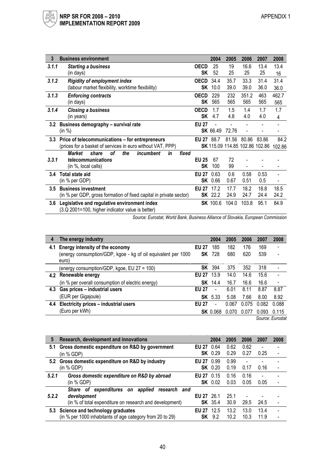| 3       | <b>Business environment</b>                                        |                   | 2004            | 2005                           | 2006  | 2007  | 2008   |
|---------|--------------------------------------------------------------------|-------------------|-----------------|--------------------------------|-------|-------|--------|
| 3.1.1   | <b>Starting a business</b>                                         | <b>OECD</b>       | 25              | 19                             | 16.6  | 13.4  | 13.4   |
|         | (in days)                                                          | SK                | 52              | 25                             | 25    | 25    | 16     |
| 3.1.2   | <b>Rigidity of employment index</b>                                | <b>OECD</b>       | 34.4            | 35.7                           | 33.3  | 31.4  | 31.4   |
|         | (labour market flexibility, worktime flexibility)                  | SK                | 10.0            | 39.0                           | 39.0  | 36.0  | 36.0   |
| 3.1.3   | <b>Enforcing contracts</b>                                         | <b>OECD</b>       | 229             | 232                            | 351.2 | 463   | 462.7  |
|         | (in days)                                                          | SK                | 565             | 565                            | 565   | 565   | 565    |
| 3.1.4   | <b>Closing a business</b>                                          | <b>OECD</b>       | 1.7             | 1.5                            | 1.4   | 1.7   | 1.7    |
|         | (in years)                                                         | <b>SK</b>         | 4.7             | 4.8                            | 4.0   | 4.0   | 4      |
| 3.2     | Business demography - survival rate                                | <b>EU 27</b>      |                 |                                |       |       |        |
|         | (in %)                                                             |                   | <b>SK</b> 66.49 | 72.76                          |       |       |        |
| $3.3\,$ | Price of telecommunications - for entrepreneurs                    | EU 27 88.7        |                 | 81.56                          | 80.86 | 83.86 | 84.2   |
|         | (prices for a basket of services in euro without VAT, PPP)         |                   |                 | SK 115.09 114.85 102.86 102.86 |       |       | 102.86 |
|         | οf<br>the<br>incumbent<br><b>Market</b><br>share<br>in<br>fixed    |                   |                 |                                |       |       |        |
| 3,3,1   | telecommunications                                                 | <b>EU 25</b>      | 67              | 72                             |       |       |        |
|         | (in %, local calls)                                                | SΚ                | 100             | 99                             |       |       |        |
| 3.4     | <b>Total state aid</b>                                             | <b>EU 27</b>      | 0.63            | 0.6                            | 0.58  | 0.53  |        |
|         | (in % per GDP)                                                     | SK                | 0.66            | 0.67                           | 0.51  | 0.5   |        |
| $3.5\,$ | <b>Business investment</b>                                         | <b>EU 27</b> 17.2 |                 | 17.7                           | 18.2  | 18.8  | 18.5   |
|         | (in % per GDP, gross formation of fixed capital in private sector) | SK                | 22.2            | 24.9                           | 24.7  | 24.4  | 24.2   |
| 3.6     | Legislative and regulative environment index                       |                   | <b>SK</b> 100.6 | 104.0                          | 103.8 | 95.1  | 84.9   |
|         | (3.Q 2001=100, higher indicator value is better)                   |                   |                 |                                |       |       |        |

Source: Eurostat, World Bank, Business Alliance of Slovakia, European Commission

| 4   | The energy industry                                                    |              | 2004            | 2005  | 2006  | 2007  | 2008                     |
|-----|------------------------------------------------------------------------|--------------|-----------------|-------|-------|-------|--------------------------|
|     | 4.1 Energy intensity of the economy                                    | EU 27        | 185             | 182   | 176   | 169   |                          |
|     | (energy consumption/GDP, kgoe - kg of oil equivalent per 1000<br>euro) | SK           | 728             | 680   | 620   | 539   |                          |
|     | (energy consumption/GDP, kgoe, EU 27 = 100)                            |              | <b>SK</b> 394   | 375   | 352   | 318   | $\overline{\phantom{a}}$ |
|     | 4.2 Renewable energy                                                   | EU 27 13.9   |                 | 14.0  | 14.6  | 15.6  |                          |
|     | (in % per overall consumption of electric energy)                      |              | <b>SK</b> 14.4  | 16.7  | 16.6  | 16.6  |                          |
| 4.3 | Gas prices - industrial users                                          | <b>FU 27</b> | $\blacksquare$  | 6.01  | 8.11  | 8.87  | 8.87                     |
|     | (EUR per Gigajoule)                                                    |              | <b>SK</b> 5.33  | 5.08  | 7.66  | 8.00  | 8.92                     |
|     | 4.4 Electricity prices - industrial users                              | <b>FU 27</b> |                 | 0.067 | 0.075 | 0.082 | 0.088                    |
|     | (Euro per kWh)                                                         |              | <b>SK</b> 0.068 | 0.070 | 0.077 | 0.093 | 0 1 1 5                  |
|     |                                                                        |              |                 |       |       |       | Source: Furostat         |

| 5     | Research, development and innovations                     |                   | 2004           | 2005 | 2006           | 2007 | 2008                     |
|-------|-----------------------------------------------------------|-------------------|----------------|------|----------------|------|--------------------------|
| 5.1   | Gross domestic expenditure on R&D by government           | <b>EU 27</b> 0.64 |                | 0.62 | 0.62           |      |                          |
|       | (in % GDP)                                                |                   | <b>SK</b> 0.29 | 0.29 | 0.27           | 0.25 |                          |
|       | 5.2 Gross domestic expenditure on R&D by industry         | EU 27 0.99        |                | 0.99 | $\blacksquare$ |      |                          |
|       | (in % GDP)                                                |                   | <b>SK</b> 0.20 | 0.19 | 0.17           | 0.16 | $\overline{\phantom{a}}$ |
| 5.2.1 | Gross domestic expenditure on R&D by abroad               | <b>FU 27</b>      | 0.15           | 0.16 | 0.16           |      |                          |
|       | (in % GDP)                                                |                   | <b>SK</b> 0.02 | 0.03 | 0.05           | 0.05 |                          |
|       | of expenditures on<br>applied<br>Share<br>research<br>and |                   |                |      |                |      |                          |
| 5.2.2 | development                                               | EU 27 26.1        |                | 25.1 |                |      |                          |
|       | (in % of total expenditure on research and development)   |                   | <b>SK</b> 35.4 | 30.9 | 29.5           | 24.5 |                          |
|       | 5.3 Science and technology graduates                      | <b>EU 27</b>      | 12.5           | 13.2 | 13.0           | 13.4 |                          |
|       | (in % per 1000 inhabitants of age category from 20 to 29) | SK.               | 9.2            | 10.2 | 10.3           | 11.9 |                          |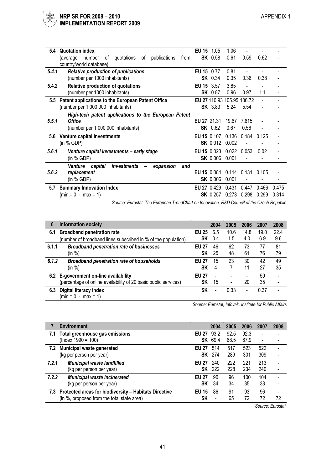| 5.4   | <b>Quotation index</b>                                                                       | <b>EU 15</b> 1.05 |                 | 1.06          |                            |       |       |  |  |  |
|-------|----------------------------------------------------------------------------------------------|-------------------|-----------------|---------------|----------------------------|-------|-------|--|--|--|
|       | (average number<br>quotations<br>publications<br>from<br>of<br>of<br>country/world database) |                   | <b>SK</b> 0.58  | 0.61          | 0.59                       | 0.62  |       |  |  |  |
| 5.4.1 | <b>Relative production of publications</b>                                                   | EU 15 0.77        |                 | 0.81          |                            |       |       |  |  |  |
|       | (number per 1000 inhabitants)                                                                |                   | <b>SK</b> 0.34  | 0.35          | 0.36                       | 0.38  |       |  |  |  |
| 5.4.2 | Relative production of quotations                                                            | EU 15 3.57        |                 | 3.85          |                            |       |       |  |  |  |
|       | (number per 1000 inhabitants)                                                                |                   | <b>SK</b> 0.87  | 0.96          | 0.97                       | 1.1   |       |  |  |  |
| 5.5   | Patent applications to the European Patent Office                                            |                   |                 |               | EU 27 110.93 105.95 106.72 |       |       |  |  |  |
|       | (number per 1 000 000 inhabitants)                                                           |                   | <b>SK</b> 3.83  | 5.24          | 5.54                       |       |       |  |  |  |
|       | High-tech patent applications to the European Patent                                         |                   |                 |               |                            |       |       |  |  |  |
| 5.5.1 | <b>Office</b>                                                                                | EU 27 21.31       |                 | 19.67         | 7.615                      |       |       |  |  |  |
|       | (number per 1 000 000 inhabitants)                                                           |                   | <b>SK</b> 0.62  | 0.67          | 0.56                       |       |       |  |  |  |
| 5.6   | Venture capital investments                                                                  | EU 15 0.107       |                 |               | 0.136 0.184                | 0.125 |       |  |  |  |
|       | (in % GDP)                                                                                   |                   | <b>SK</b> 0.012 | 0.002         |                            |       |       |  |  |  |
| 5.6.1 | Venture capital investments - early stage                                                    | EU 15 0.023       |                 | $0.022$ 0.053 |                            | 0.02  |       |  |  |  |
|       | (in % GDP)                                                                                   |                   | <b>SK 0.006</b> | 0.001         |                            |       |       |  |  |  |
|       | capital<br>investments<br>Venture<br>expansion<br>and                                        |                   |                 |               |                            |       |       |  |  |  |
| 5.6.2 | replacement                                                                                  |                   | EU 15 0.084     |               | $0.114$ $0.131$ $0.105$    |       |       |  |  |  |
|       | (in % GDP)                                                                                   |                   | <b>SK 0.006</b> | 0.001         |                            |       |       |  |  |  |
| 5.7   | <b>Summary Innovation Index</b>                                                              | EU 27 0.429       |                 | 0.431         | 0.447                      | 0.466 | 0.475 |  |  |  |
|       | $(min = 0 - max = 1)$                                                                        |                   | <b>SK</b> 0.257 | 0.273         | 0.298                      | 0.299 | 0.314 |  |  |  |

Source: Eurostat, The European TrendChart on Innovation, R&D Council of the Czech Republic

| 6     | <b>Information society</b>                                      |                    | 2004           | 2005                         | 2006     | 2007     | 2008     |
|-------|-----------------------------------------------------------------|--------------------|----------------|------------------------------|----------|----------|----------|
| 6.1   | <b>Broadband penetration rate</b>                               | <b>EU 25</b>       | 6.5            | 10.6                         | 14.8     | 19.0     | 22.4     |
|       | (number of broadband lines subscribed in % of the population)   |                    | <b>SK</b> 0.4  | 1.5                          | 4.0      | 6.9      | 9.6      |
| 6.1.1 | <b>Broadband penetration rate of businesses</b><br>(in %)       | <b>EU 27</b><br>SΚ | 46<br>25       | 62<br>48                     | 73<br>61 | 77<br>76 | 81<br>79 |
| 6.1.2 | <b>Broadband penetration rate of households</b>                 | <b>EU 27</b>       | 15             | 23                           | 30       | 42       | 49       |
|       | (in %)                                                          | <b>SK</b>          | 4              |                              | 11       | 27       | 35       |
|       | 6.2 E-government on-line availability                           | <b>EU 27</b>       | $\blacksquare$ | $\blacksquare$               |          | 59       |          |
|       | (percentage of online availability of 20 basic public services) | <b>SK</b>          | 15             | $\qquad \qquad \blacksquare$ | 20       | 35       |          |
| 6.3   | Digital literacy index<br>$(min = 0 - max = 1)$                 | SΚ                 |                | 0.33                         | -        | 0.37     |          |

Source: Eurostat, Infovek, Institute for Public Affairs

|       | <b>Environment</b>                                        |              | 2004           | 2005 | 2006 | 2007                     | 2008 |
|-------|-----------------------------------------------------------|--------------|----------------|------|------|--------------------------|------|
| 7.1   | Total greenhouse gas emissions                            | <b>EU 27</b> | 93.2           | 92.5 | 92.3 | -                        |      |
|       | $(Index 1990 = 100)$                                      |              | <b>SK</b> 69.4 | 68.5 | 67.9 | $\overline{\phantom{0}}$ |      |
|       | 7.2 Municipal waste generated                             | <b>EU 27</b> | 514            | 517  | 523  | 522                      | ٠    |
|       | (kg per person per year)                                  |              | <b>SK</b> 274  | 289  | 301  | 309                      |      |
| 7.2.1 | Municipal waste landfilled                                | <b>EU 27</b> | 240            | 222  | 221  | 213                      |      |
|       | (kg per person per year)                                  |              | <b>SK</b> 222  | 228  | 234  | 240                      |      |
| 7.2.2 | <b>Municipal waste incinerated</b>                        | <b>EU 27</b> | 90             | 96   | 100  | 104                      |      |
|       | (kg per person per year)                                  | SK           | 34             | 34   | 35   | 33                       |      |
|       | 7.3 Protected areas for biodiversity - Habitats Directive | <b>EU 15</b> | 86             | 91   | 93   | 96                       |      |
|       | (in %, proposed from the total state area)                | SΚ           |                | 65   | 72   | 72                       | 72   |
|       |                                                           |              |                |      |      |                          |      |

Source: Eurostat